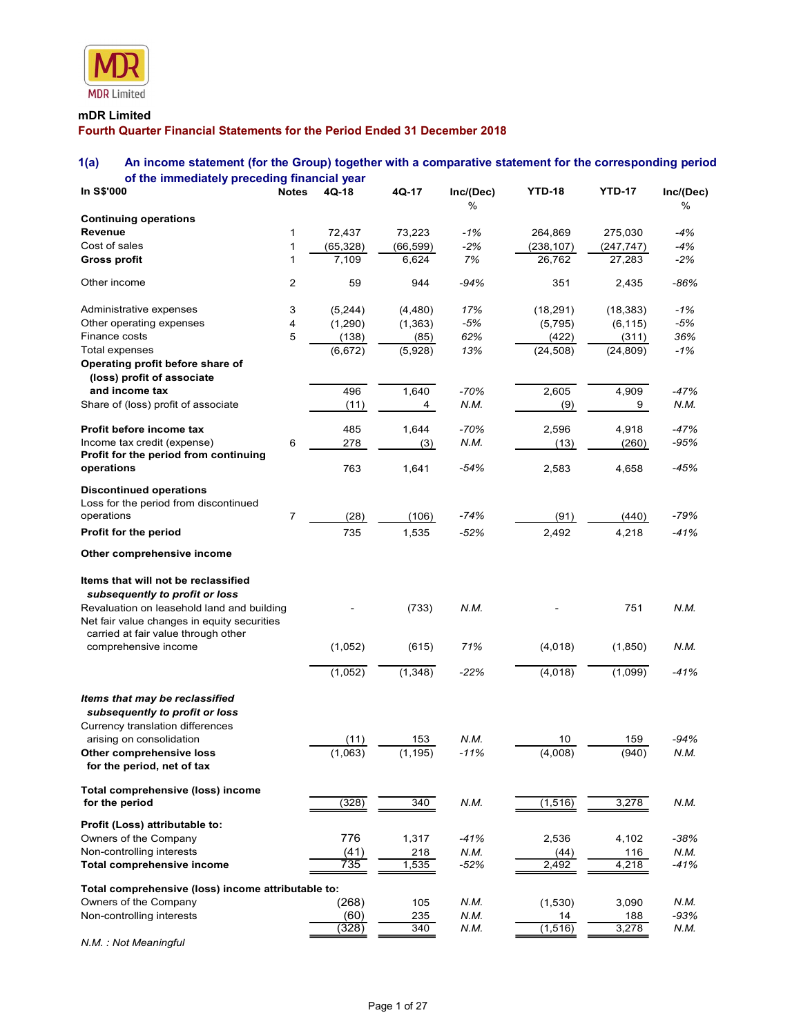

# mDR Limited

# 1(a) An income statement (for the Group) together with a comparative statement for the corresponding period of the immediately preceding financial year

| <b>MDR</b> Limited                                                                                                                                            |                  |             |           |           |               |               |           |
|---------------------------------------------------------------------------------------------------------------------------------------------------------------|------------------|-------------|-----------|-----------|---------------|---------------|-----------|
|                                                                                                                                                               |                  |             |           |           |               |               |           |
| mDR Limited                                                                                                                                                   |                  |             |           |           |               |               |           |
| Fourth Quarter Financial Statements for the Period Ended 31 December 2018                                                                                     |                  |             |           |           |               |               |           |
| 1(a)<br>An income statement (for the Group) together with a comparative statement for the corresponding period<br>of the immediately preceding financial year |                  |             |           |           |               |               |           |
| In S\$'000                                                                                                                                                    |                  | Notes 4Q-18 | 4Q-17     | Inc/(Dec) | <b>YTD-18</b> | <b>YTD-17</b> | Inc/(Dec) |
| <b>Continuing operations</b>                                                                                                                                  |                  |             |           | $\%$      |               |               | %         |
| Revenue                                                                                                                                                       | -1               | 72,437      | 73,223    | $-1%$     | 264,869       | 275,030       | -4%       |
| Cost of sales                                                                                                                                                 |                  | (65, 328)   | (66, 599) | $-2%$     | (238, 107)    | (247, 747)    | $-4%$     |
| <b>Gross profit</b>                                                                                                                                           | 1                | 7,109       | 6,624     | 7%        | 26,762        | 27,283        | $-2\%$    |
| Other income                                                                                                                                                  | $\overline{2}$   | 59          | 944       | $-94%$    | 351           | 2,435         | $-86%$    |
| Administrative expenses                                                                                                                                       | 3                | (5,244)     | (4, 480)  | 17%       | (18, 291)     | (18, 383)     | -1%       |
| Other operating expenses                                                                                                                                      | 4                | (1,290)     | (1, 363)  | -5%       | (5, 795)      | (6, 115)      | -5%       |
| Finance costs                                                                                                                                                 | 5                | (138)       | (85)      | 62%       | (422)         | (311)         | 36%       |
| Total expenses<br>Operating profit before share of<br>(loss) profit of associate                                                                              |                  | (6,672)     | (5,928)   | 13%       | (24, 508)     | (24, 809)     | $-1%$     |
| and income tax                                                                                                                                                |                  | 496         | 1,640     | $-70%$    | 2,605         | 4,909         | $-47%$    |
| Share of (loss) profit of associate                                                                                                                           |                  | (11)        | 4         | N.M.      | (9)           | 9             | N.M.      |
| Profit before income tax                                                                                                                                      |                  | 485         | 1,644     | -70%      | 2,596         | 4,918         | -47%      |
| Income tax credit (expense)                                                                                                                                   | 6                | 278         | (3)       | N.M.      | (13)          | (260)         | $-95%$    |
| Profit for the period from continuing<br>operations                                                                                                           |                  | 763         | 1,641     | $-54%$    | 2,583         | 4,658         | $-45%$    |
|                                                                                                                                                               |                  |             |           |           |               |               |           |
| <b>Discontinued operations</b><br>Loss for the period from discontinued                                                                                       |                  |             |           |           |               |               |           |
| operations                                                                                                                                                    | $\boldsymbol{7}$ | (28)        | (106)     | $-74%$    | (91)          | (440)         | $-79%$    |
| Profit for the period                                                                                                                                         |                  | 735         | 1,535     | $-52%$    | 2,492         | 4,218         | $-41%$    |
| Other comprehensive income                                                                                                                                    |                  |             |           |           |               |               |           |
|                                                                                                                                                               |                  |             |           |           |               |               |           |
| Items that will not be reclassified                                                                                                                           |                  |             |           |           |               |               |           |
| subsequently to profit or loss                                                                                                                                |                  |             |           |           |               |               | N.M.      |
| Revaluation on leasehold land and building<br>Net fair value changes in equity securities                                                                     |                  |             | (733)     | N.M.      |               | 751           |           |
| carried at fair value through other                                                                                                                           |                  |             |           |           |               |               |           |
| comprehensive income                                                                                                                                          |                  | (1,052)     | (615)     | 71%       | (4,018)       | (1,850)       | N.M.      |
|                                                                                                                                                               |                  | (1,052)     | (1, 348)  | $-22%$    | (4,018)       | (1,099)       | $-41%$    |
|                                                                                                                                                               |                  |             |           |           |               |               |           |
| Items that may be reclassified                                                                                                                                |                  |             |           |           |               |               |           |
| subsequently to profit or loss<br>Currency translation differences                                                                                            |                  |             |           |           |               |               |           |
| arising on consolidation                                                                                                                                      |                  | (11)        | 153       | N.M.      | 10            | 159           | $-94%$    |
| Other comprehensive loss                                                                                                                                      |                  | (1,063)     | (1, 195)  | $-11%$    | (4,008)       | (940)         | N.M.      |
| for the period, net of tax                                                                                                                                    |                  |             |           |           |               |               |           |
| Total comprehensive (loss) income<br>for the period                                                                                                           |                  | (328)       | 340       | N.M.      | (1, 516)      | 3,278         | N.M.      |
|                                                                                                                                                               |                  |             |           |           |               |               |           |
| Profit (Loss) attributable to:<br>Owners of the Company                                                                                                       |                  | 776         | 1,317     | $-41%$    | 2,536         | 4,102         | $-38%$    |
| Non-controlling interests                                                                                                                                     |                  | (41)        | 218       | N.M.      | (44)          | 116           | N.M.      |
| Total comprehensive income                                                                                                                                    |                  | 735         | 1,535     | $-52%$    | 2,492         | 4,218         | $-41%$    |
| Total comprehensive (loss) income attributable to:                                                                                                            |                  |             |           |           |               |               |           |
| Owners of the Company                                                                                                                                         |                  | (268)       | 105       | N.M.      | (1,530)       | 3,090         | N.M.      |
| Non-controlling interests                                                                                                                                     |                  | (60)        | 235       | N.M.      | 14            | 188           | $-93%$    |
|                                                                                                                                                               |                  | (328)       | 340       | N.M.      | (1, 516)      | 3,278         | N.M.      |

N.M. : Not Meaningful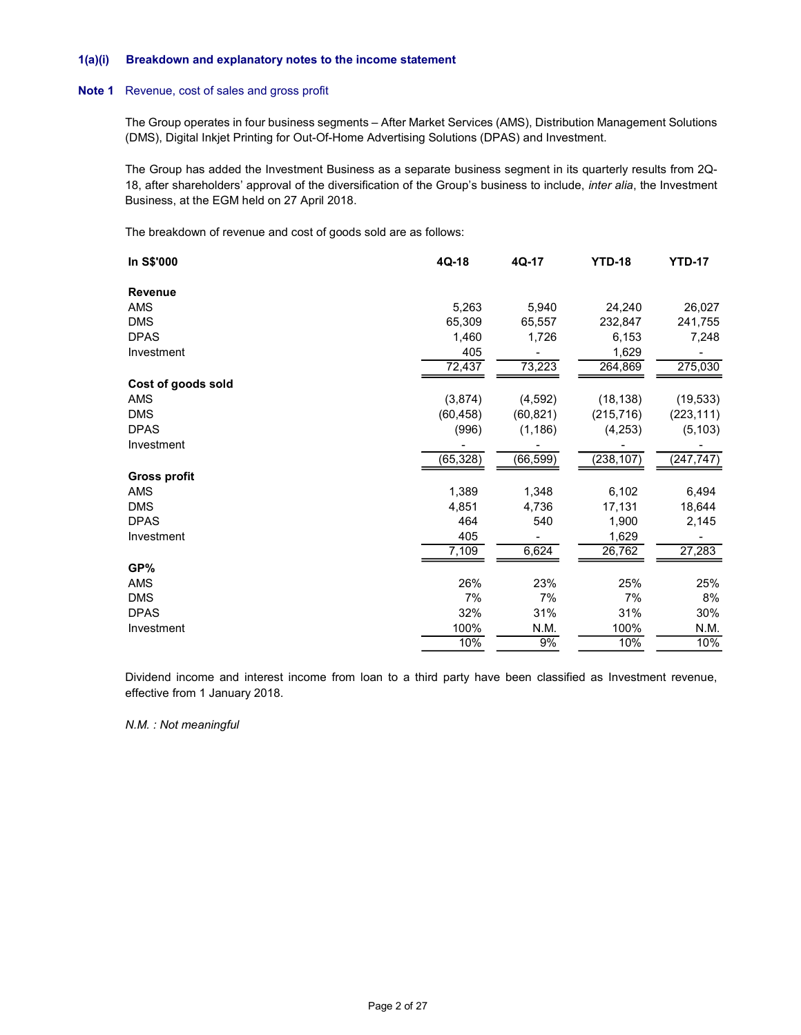#### 1(a)(i) Breakdown and explanatory notes to the income statement

#### Note 1 Revenue, cost of sales and gross profit

| Breakdown and explanatory notes to the income statement                                                                                                                                                                                                                                       |           |           |               |               |
|-----------------------------------------------------------------------------------------------------------------------------------------------------------------------------------------------------------------------------------------------------------------------------------------------|-----------|-----------|---------------|---------------|
| Revenue, cost of sales and gross profit                                                                                                                                                                                                                                                       |           |           |               |               |
| The Group operates in four business segments - After Market Services (AMS), Distribution Management Solutions<br>(DMS), Digital Inkjet Printing for Out-Of-Home Advertising Solutions (DPAS) and Investment.                                                                                  |           |           |               |               |
| The Group has added the Investment Business as a separate business segment in its quarterly results from 2Q-<br>18, after shareholders' approval of the diversification of the Group's business to include, <i>inter alia</i> , the Investment<br>Business, at the EGM held on 27 April 2018. |           |           |               |               |
| The breakdown of revenue and cost of goods sold are as follows:                                                                                                                                                                                                                               |           |           |               |               |
| In S\$'000                                                                                                                                                                                                                                                                                    | 4Q-18     | 4Q-17     | <b>YTD-18</b> | <b>YTD-17</b> |
| Revenue                                                                                                                                                                                                                                                                                       |           |           |               |               |
| AMS                                                                                                                                                                                                                                                                                           | 5,263     | 5,940     | 24,240        | 26,027        |
| <b>DMS</b>                                                                                                                                                                                                                                                                                    | 65,309    | 65,557    | 232,847       | 241,755       |
| <b>DPAS</b>                                                                                                                                                                                                                                                                                   | 1,460     | 1,726     | 6,153         | 7,248         |
| Investment                                                                                                                                                                                                                                                                                    | 405       |           | 1,629         |               |
|                                                                                                                                                                                                                                                                                               | 72,437    | 73,223    | 264,869       | 275,030       |
| Cost of goods sold                                                                                                                                                                                                                                                                            |           |           |               |               |
| AMS                                                                                                                                                                                                                                                                                           | (3,874)   | (4, 592)  | (18, 138)     | (19, 533)     |
| <b>DMS</b>                                                                                                                                                                                                                                                                                    | (60, 458) | (60, 821) | (215, 716)    | (223, 111)    |
| <b>DPAS</b>                                                                                                                                                                                                                                                                                   |           |           |               |               |
|                                                                                                                                                                                                                                                                                               | (996)     | (1, 186)  | (4, 253)      | (5, 103)      |
| Investment                                                                                                                                                                                                                                                                                    |           |           |               |               |
|                                                                                                                                                                                                                                                                                               | (65, 328) | (66, 599) | (238, 107)    | (247, 747)    |
| <b>Gross profit</b>                                                                                                                                                                                                                                                                           |           |           |               |               |
| AMS                                                                                                                                                                                                                                                                                           | 1,389     | 1,348     | 6,102         | 6,494         |
| <b>DMS</b>                                                                                                                                                                                                                                                                                    | 4,851     | 4,736     | 17,131        | 18,644        |
| <b>DPAS</b>                                                                                                                                                                                                                                                                                   | 464       | 540       | 1,900         | 2,145         |
| Investment                                                                                                                                                                                                                                                                                    | 405       |           | 1,629         |               |
|                                                                                                                                                                                                                                                                                               | 7,109     | 6,624     | 26,762        | 27,283        |
| GP%                                                                                                                                                                                                                                                                                           |           |           |               |               |
| AMS                                                                                                                                                                                                                                                                                           | 26%       | 23%       | 25%           | 25%           |
| DMS                                                                                                                                                                                                                                                                                           | 7%        | 7%        | 7%            | 8%            |
| <b>DPAS</b>                                                                                                                                                                                                                                                                                   | 32%       | 31%       | 31%           | 30%           |
| Investment                                                                                                                                                                                                                                                                                    | 100%      | N.M.      | 100%          | N.M.          |
|                                                                                                                                                                                                                                                                                               | 10%       | 9%        | 10%           | 10%           |

N.M. : Not meaningful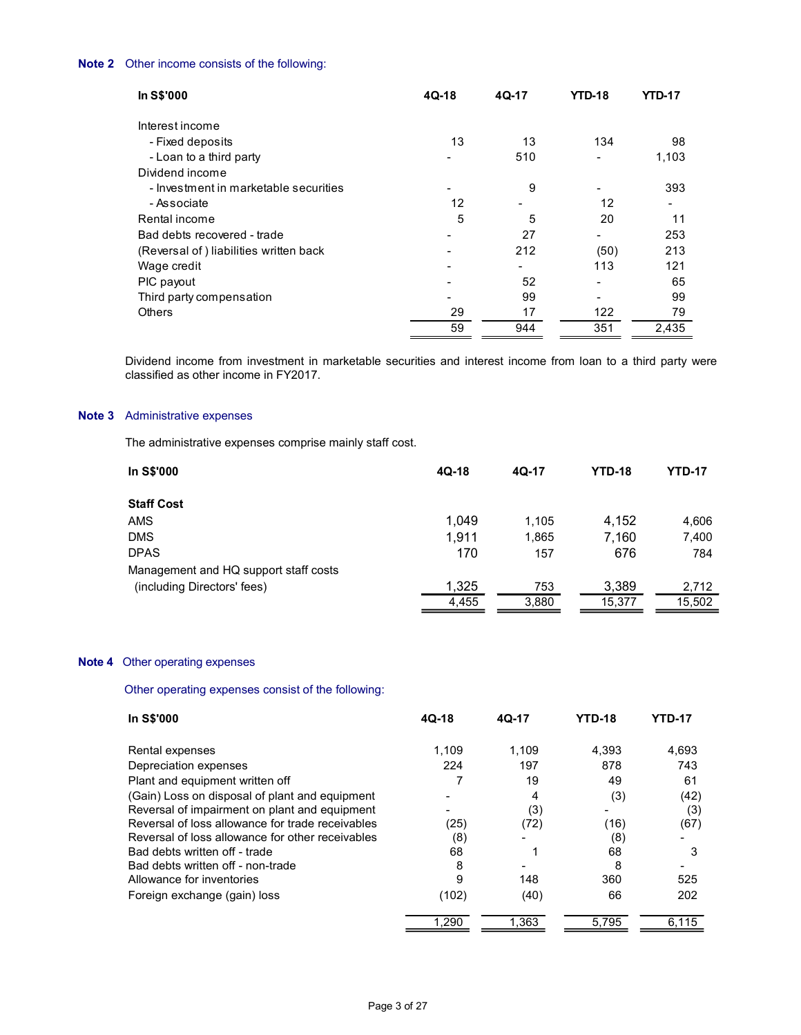| Other income consists of the following:                                                                                                               |                          |                |                |               |
|-------------------------------------------------------------------------------------------------------------------------------------------------------|--------------------------|----------------|----------------|---------------|
|                                                                                                                                                       |                          |                |                |               |
| In S\$'000                                                                                                                                            | $4Q-18$                  | 4Q-17          | <b>YTD-18</b>  | <b>YTD-17</b> |
| Interest income                                                                                                                                       |                          |                |                |               |
|                                                                                                                                                       |                          |                |                |               |
| - Fixed deposits                                                                                                                                      | 13                       | 13             | 134            | 98            |
| - Loan to a third party                                                                                                                               | $\sim$                   | 510            | $\sim$         | 1,103         |
| Dividend income                                                                                                                                       |                          |                |                |               |
| - Investment in marketable securities                                                                                                                 | $\sim$                   | 9              | $\blacksquare$ | 393           |
| - Associate                                                                                                                                           | 12                       | $\blacksquare$ | 12             | $\sim$        |
| Rental income                                                                                                                                         | $\overline{5}$           | 5              | 20             | 11            |
| Bad debts recovered - trade                                                                                                                           | $\overline{\phantom{a}}$ | 27             | $\sim 100$     | 253           |
| (Reversal of) liabilities written back                                                                                                                | $\overline{\phantom{a}}$ | 212            | (50)           | 213           |
| Wage credit                                                                                                                                           | $\overline{\phantom{a}}$ | $\sim$         | 113            | 121           |
| PIC payout                                                                                                                                            | $\blacksquare$           | 52             | $\blacksquare$ | 65            |
| Third party compensation                                                                                                                              | $\blacksquare$           | 99             | $\blacksquare$ | 99            |
| Others                                                                                                                                                | 29                       | 17             | 122            | 79            |
|                                                                                                                                                       | 59                       | 944            | 351            | 2,435         |
|                                                                                                                                                       |                          |                |                |               |
|                                                                                                                                                       |                          |                |                |               |
| Dividend income from investment in marketable securities and interest income from loan to a third party were<br>classified as other income in FY2017. |                          |                |                |               |
|                                                                                                                                                       |                          |                |                |               |
|                                                                                                                                                       |                          |                |                |               |
| Administrative expenses                                                                                                                               |                          |                |                |               |
|                                                                                                                                                       |                          |                |                |               |
| The administrative expenses comprise mainly staff cost.                                                                                               |                          |                |                |               |
| In S\$'000                                                                                                                                            | $4Q-18$                  | $4Q-17$        | <b>YTD-18</b>  | <b>YTD-17</b> |
|                                                                                                                                                       |                          |                |                |               |
| <b>Staff Cost</b>                                                                                                                                     |                          |                |                |               |
|                                                                                                                                                       | 1,049                    | 1,105          | 4,152          | 4,606         |
| AMS                                                                                                                                                   |                          |                |                |               |
| <b>DMS</b>                                                                                                                                            | 1,911                    | 1,865          | 7,160          | 7,400         |

# Note 3 Administrative expenses

| In S\$'000                            | $4Q-18$ | 4Q-17 | <b>YTD-18</b> | <b>YTD-17</b> |  |
|---------------------------------------|---------|-------|---------------|---------------|--|
| <b>Staff Cost</b>                     |         |       |               |               |  |
| AMS                                   | 1,049   | 1,105 | 4,152         | 4,606         |  |
| <b>DMS</b>                            | 1,911   | .865  | 7,160         | 7,400         |  |
| <b>DPAS</b>                           | 170     | 157   | 676           | 784           |  |
| Management and HQ support staff costs |         |       |               |               |  |
| (including Directors' fees)           | 1,325   | 753   | 3,389         | 2,712         |  |
|                                       | 4,455   | 3,880 | 15,377        | 15,502        |  |

### Note 4 Other operating expenses

Other operating expenses consist of the following:

| <b>In S\$'000</b>                                | 4Q-18 | 4Q-17 | <b>YTD-18</b> | <b>YTD-17</b> |  |
|--------------------------------------------------|-------|-------|---------------|---------------|--|
| Rental expenses                                  | 1.109 | 1.109 | 4,393         | 4.693         |  |
| Depreciation expenses                            | 224   | 197   | 878           | 743           |  |
| Plant and equipment written off                  |       | 19    | 49            | 61            |  |
| (Gain) Loss on disposal of plant and equipment   |       | 4     | (3)           | (42)          |  |
| Reversal of impairment on plant and equipment    |       | (3)   |               | (3)           |  |
| Reversal of loss allowance for trade receivables | (25)  | (72)  | (16)          | (67)          |  |
| Reversal of loss allowance for other receivables | (8)   |       | (8)           |               |  |
| Bad debts written off - trade                    | 68    |       | 68            | 3             |  |
| Bad debts written off - non-trade                | 8     |       | 8             |               |  |
| Allowance for inventories                        |       | 148   | 360           | 525           |  |
| Foreign exchange (gain) loss                     | (102) | (40)  | 66            | 202           |  |
|                                                  | 1,290 | 1,363 | 5,795         | 6,115         |  |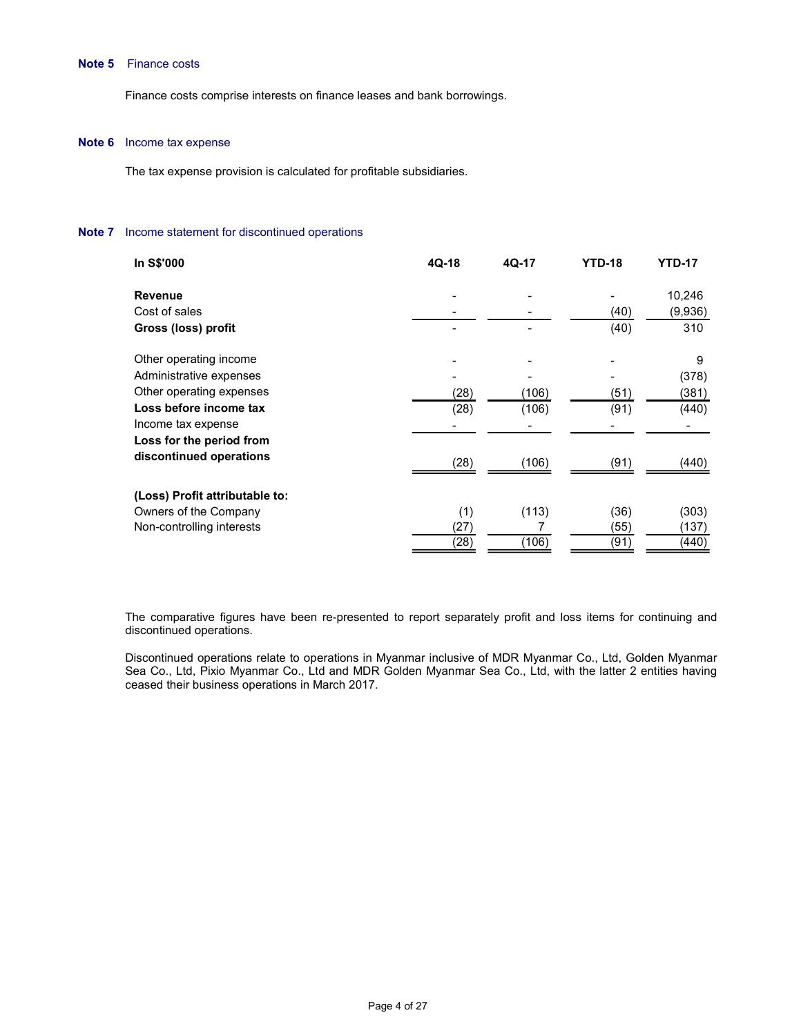### Note 5 Finance costs

#### Note 6 Income tax expense

#### Note 7 Income statement for discontinued operations

| inance costs                                                           |                          |                          |                             |                |
|------------------------------------------------------------------------|--------------------------|--------------------------|-----------------------------|----------------|
| inance costs comprise interests on finance leases and bank borrowings. |                          |                          |                             |                |
| ncome tax expense                                                      |                          |                          |                             |                |
| he tax expense provision is calculated for profitable subsidiaries.    |                          |                          |                             |                |
| ncome statement for discontinued operations                            |                          |                          |                             |                |
|                                                                        |                          |                          |                             |                |
| In S\$'000                                                             | 4Q-18                    | 4Q-17                    | <b>YTD-18</b>               | <b>YTD-17</b>  |
| Revenue                                                                |                          |                          | $\blacksquare$              | 10,246         |
| Cost of sales                                                          | $\overline{\phantom{a}}$ |                          | (40)                        | (9,936)        |
| Gross (loss) profit                                                    | $\overline{\phantom{0}}$ |                          | (40)                        | 310            |
| Other operating income                                                 |                          |                          |                             | 9              |
| Administrative expenses                                                |                          |                          |                             | (378)          |
| Other operating expenses                                               | (28)                     | (106)                    | (51)                        | (381)          |
| Loss before income tax                                                 | (28)                     | (106)                    | (91)                        | (440)          |
| Income tax expense                                                     | $\blacksquare$           | $\overline{\phantom{a}}$ | $\blacksquare$              | $\sim$         |
| Loss for the period from                                               |                          |                          |                             |                |
| discontinued operations                                                | (28)                     | (106)                    | (91)                        | (440)          |
|                                                                        |                          |                          |                             |                |
| (Loss) Profit attributable to:                                         |                          |                          |                             |                |
| Owners of the Company<br>Non-controlling interests                     | (1)<br>(27)              | (113)<br>$\overline{7}$  | (36)<br>$\frac{(55)}{(91)}$ | (303)<br>(137) |

 The comparative figures have been re-presented to report separately profit and loss items for continuing and discontinued operations.

 Discontinued operations relate to operations in Myanmar inclusive of MDR Myanmar Co., Ltd, Golden Myanmar Sea Co., Ltd, Pixio Myanmar Co., Ltd and MDR Golden Myanmar Sea Co., Ltd, with the latter 2 entities having ceased their business operations in March 2017.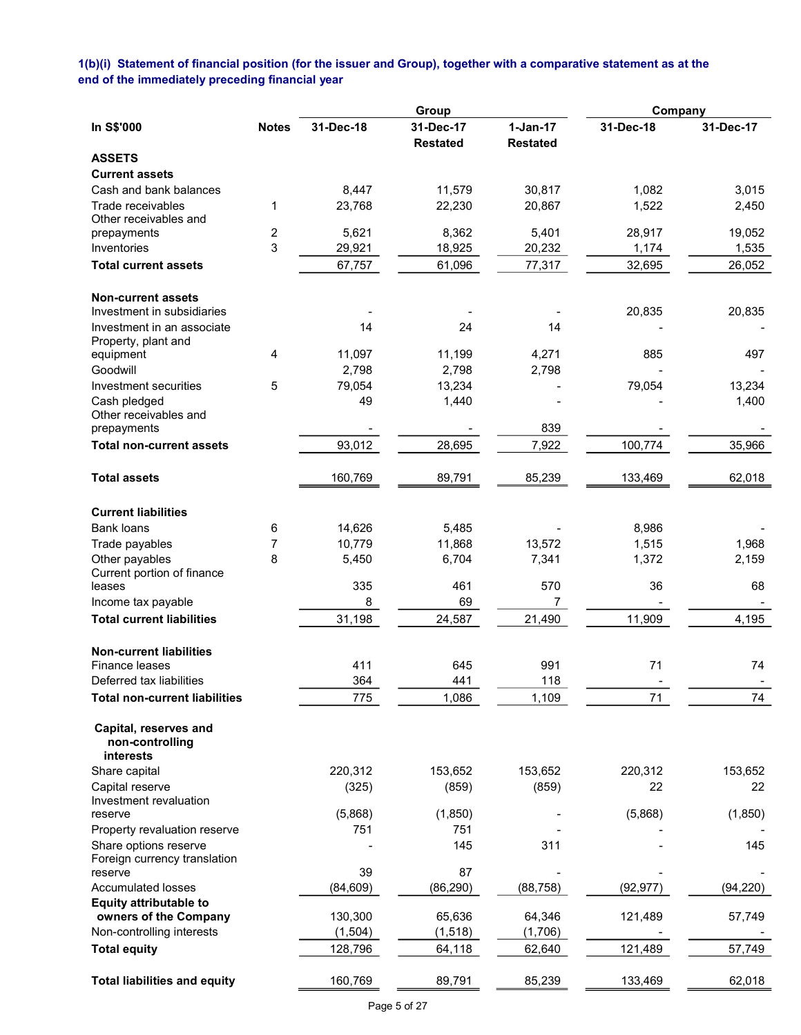1(b)(i) Statement of financial position (for the issuer and Group), together with a comparative statement as at the end of the immediately preceding financial year

|                                                         |              |           | Group                        |                               | Company   |           |
|---------------------------------------------------------|--------------|-----------|------------------------------|-------------------------------|-----------|-----------|
| In S\$'000                                              | <b>Notes</b> | 31-Dec-18 | 31-Dec-17<br><b>Restated</b> | $1-Jan-17$<br><b>Restated</b> | 31-Dec-18 | 31-Dec-17 |
| <b>ASSETS</b>                                           |              |           |                              |                               |           |           |
| <b>Current assets</b>                                   |              |           |                              |                               |           |           |
| Cash and bank balances                                  |              | 8,447     | 11,579                       | 30,817                        | 1,082     | 3,015     |
| Trade receivables                                       | 1            | 23,768    | 22,230                       | 20,867                        | 1,522     | 2,450     |
| Other receivables and                                   |              | 5,621     | 8,362                        | 5,401                         | 28,917    | 19,052    |
| prepayments<br>Inventories                              | 2<br>3       | 29,921    | 18,925                       | 20,232                        | 1,174     | 1,535     |
| <b>Total current assets</b>                             |              | 67,757    | 61,096                       | 77,317                        | 32,695    | 26,052    |
|                                                         |              |           |                              |                               |           |           |
| <b>Non-current assets</b><br>Investment in subsidiaries |              |           |                              |                               | 20,835    | 20,835    |
| Investment in an associate                              |              | 14        | 24                           | 14                            |           |           |
| Property, plant and                                     |              |           |                              |                               |           |           |
| equipment                                               | 4            | 11,097    | 11,199                       | 4,271                         | 885       | 497       |
| Goodwill                                                |              | 2,798     | 2,798                        | 2,798                         |           |           |
| Investment securities                                   | 5            | 79,054    | 13,234                       |                               | 79,054    | 13,234    |
| Cash pledged                                            |              | 49        | 1,440                        |                               |           | 1,400     |
| Other receivables and                                   |              |           |                              |                               |           |           |
| prepayments                                             |              |           |                              | 839                           |           |           |
| <b>Total non-current assets</b>                         |              | 93,012    | 28,695                       | 7,922                         | 100,774   | 35,966    |
| <b>Total assets</b>                                     |              | 160,769   | 89,791                       | 85,239                        | 133,469   | 62,018    |
| <b>Current liabilities</b>                              |              |           |                              |                               |           |           |
| <b>Bank loans</b>                                       | 6            | 14,626    | 5,485                        |                               | 8,986     |           |
| Trade payables                                          | 7            | 10,779    | 11,868                       | 13,572                        | 1,515     | 1,968     |
| Other payables                                          | 8            | 5,450     | 6,704                        | 7,341                         | 1,372     | 2,159     |
| Current portion of finance                              |              |           |                              |                               |           |           |
| leases                                                  |              | 335       | 461                          | 570                           | 36        | 68        |
| Income tax payable                                      |              | 8         | 69                           | 7                             |           |           |
| <b>Total current liabilities</b>                        |              | 31,198    | 24,587                       | 21,490                        | 11,909    | 4,195     |
| <b>Non-current liabilities</b>                          |              |           |                              |                               |           |           |
| <b>Finance leases</b>                                   |              | 411       | 645                          | 991                           | 71        | 74        |
| Deferred tax liabilities                                |              | 364       | 441                          | 118                           |           |           |
| <b>Total non-current liabilities</b>                    |              | 775       | 1,086                        | 1,109                         | 71        | 74        |
| Capital, reserves and<br>non-controlling<br>interests   |              |           |                              |                               |           |           |
| Share capital                                           |              | 220,312   | 153,652                      | 153,652                       | 220,312   | 153,652   |
| Capital reserve                                         |              | (325)     | (859)                        | (859)                         | 22        | 22        |
| Investment revaluation                                  |              |           |                              |                               |           |           |
| reserve                                                 |              | (5,868)   | (1, 850)                     |                               | (5,868)   | (1,850)   |
| Property revaluation reserve                            |              | 751       | 751                          |                               |           |           |
| Share options reserve                                   |              |           | 145                          | 311                           |           | 145       |
| Foreign currency translation<br>reserve                 |              | 39        | 87                           |                               |           |           |
| Accumulated losses                                      |              | (84, 609) | (86, 290)                    | (88, 758)                     | (92, 977) | (94, 220) |
| <b>Equity attributable to</b>                           |              |           |                              |                               |           |           |
| owners of the Company                                   |              | 130,300   | 65,636                       | 64,346                        | 121,489   | 57,749    |
| Non-controlling interests                               |              | (1,504)   | (1,518)                      | (1,706)                       |           |           |
| <b>Total equity</b>                                     |              | 128,796   | 64,118                       | 62,640                        | 121,489   | 57,749    |
| <b>Total liabilities and equity</b>                     |              | 160,769   | 89,791                       | 85,239                        | 133,469   | 62,018    |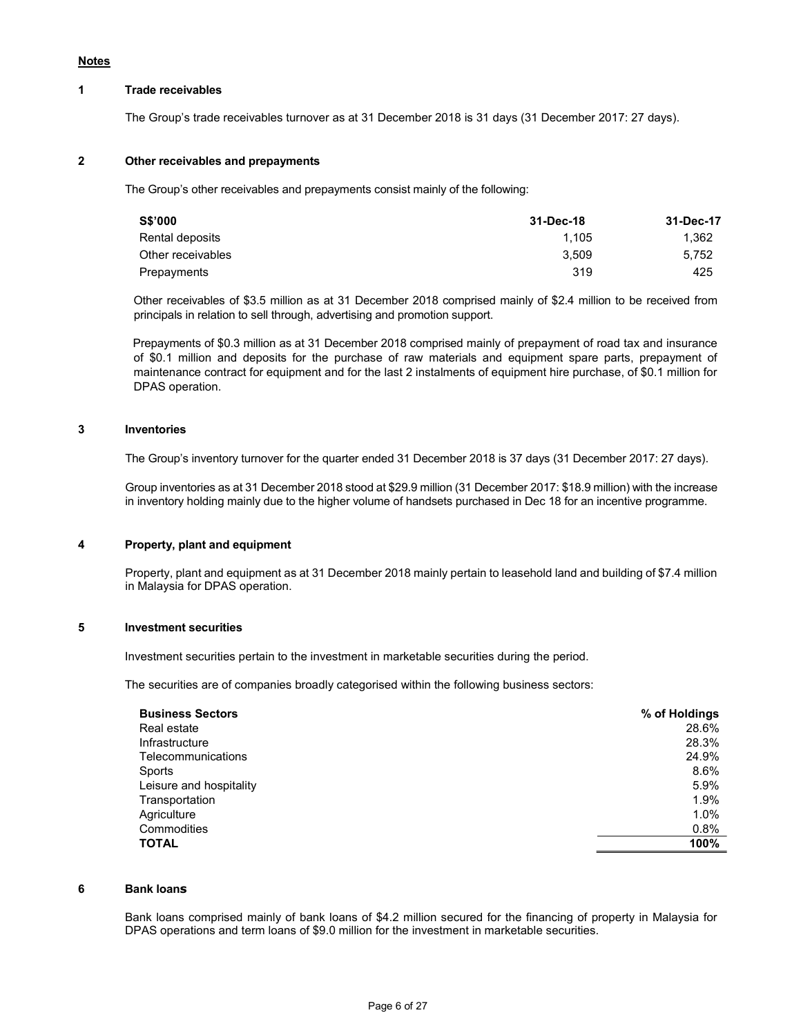#### Notes

#### 1 Trade receivables

The Group's trade receivables turnover as at 31 December 2018 is 31 days (31 December 2017: 27 days).

### 2 Other receivables and prepayments

The Group's other receivables and prepayments consist mainly of the following:

| 31-Dec-18 | 31-Dec-17 |
|-----------|-----------|
| 1.105     | 1.362     |
| 3.509     | 5.752     |
| 319       | 425       |
|           |           |

Other receivables of \$3.5 million as at 31 December 2018 comprised mainly of \$2.4 million to be received from principals in relation to sell through, advertising and promotion support.

Prepayments of \$0.3 million as at 31 December 2018 comprised mainly of prepayment of road tax and insurance of \$0.1 million and deposits for the purchase of raw materials and equipment spare parts, prepayment of maintenance contract for equipment and for the last 2 instalments of equipment hire purchase, of \$0.1 million for DPAS operation.

### 3 Inventories

The Group's inventory turnover for the quarter ended 31 December 2018 is 37 days (31 December 2017: 27 days).

 Group inventories as at 31 December 2018 stood at \$29.9 million (31 December 2017: \$18.9 million) with the increase in inventory holding mainly due to the higher volume of handsets purchased in Dec 18 for an incentive programme.

#### 4 Property, plant and equipment

 Property, plant and equipment as at 31 December 2018 mainly pertain to leasehold land and building of \$7.4 million in Malaysia for DPAS operation.

### 5 Investment securities

Investment securities pertain to the investment in marketable securities during the period.

The securities are of companies broadly categorised within the following business sectors:

| <b>Business Sectors</b> | % of Holdings |
|-------------------------|---------------|
| Real estate             | 28.6%         |
| Infrastructure          | 28.3%         |
| Telecommunications      | 24.9%         |
| Sports                  | 8.6%          |
| Leisure and hospitality | 5.9%          |
| Transportation          | 1.9%          |
| Agriculture             | 1.0%          |
| Commodities             | 0.8%          |
| <b>TOTAL</b>            | 100%          |

### 6 Bank loans

Bank loans comprised mainly of bank loans of \$4.2 million secured for the financing of property in Malaysia for DPAS operations and term loans of \$9.0 million for the investment in marketable securities.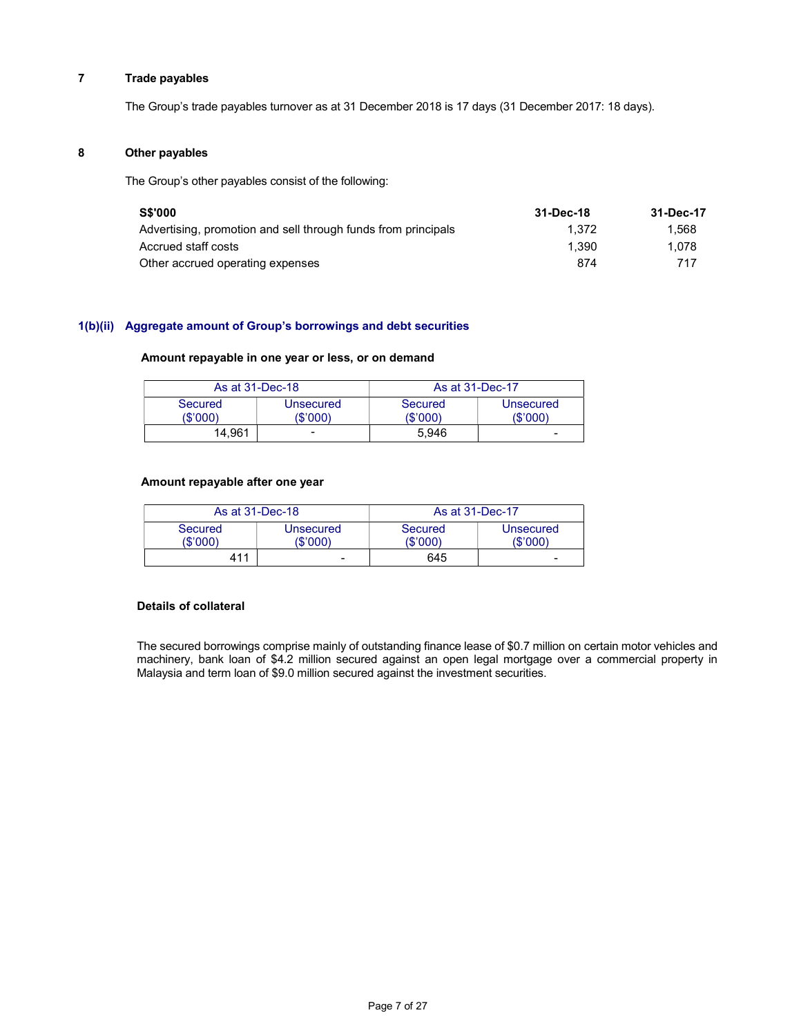# 7 Trade payables

The Group's trade payables turnover as at 31 December 2018 is 17 days (31 December 2017: 18 days).

#### 8 Other payables

The Group's other payables consist of the following:

| <b>S\$'000</b>                                                | 31-Dec-18 | 31-Dec-17 |
|---------------------------------------------------------------|-----------|-----------|
| Advertising, promotion and sell through funds from principals | 1.372     | 1.568     |
| Accrued staff costs                                           | 1.390     | 1.078     |
| Other accrued operating expenses                              | 874       | 717       |

### 1(b)(ii) Aggregate amount of Group's borrowings and debt securities

#### Amount repayable in one year or less, or on demand

| As at 31-Dec-18     |                          | As at 31-Dec-17   |                       |  |
|---------------------|--------------------------|-------------------|-----------------------|--|
| Secured<br>(\$'000) | Unsecured<br>(\$'000)    | Secured<br>\$'000 | Unsecured<br>(\$'000) |  |
| 14.961              | $\overline{\phantom{a}}$ | 5.946             | -                     |  |

### Amount repayable after one year

| As at 31-Dec-18     |                       |                     | As at 31-Dec-17       |
|---------------------|-----------------------|---------------------|-----------------------|
| Secured<br>(\$'000) | Unsecured<br>'\$'000) | Secured<br>(\$'000) | Unsecured<br>(\$'000) |
| 411                 | -                     | 645                 | -                     |

#### Details of collateral

The secured borrowings comprise mainly of outstanding finance lease of \$0.7 million on certain motor vehicles and machinery, bank loan of \$4.2 million secured against an open legal mortgage over a commercial property in Malaysia and term loan of \$9.0 million secured against the investment securities.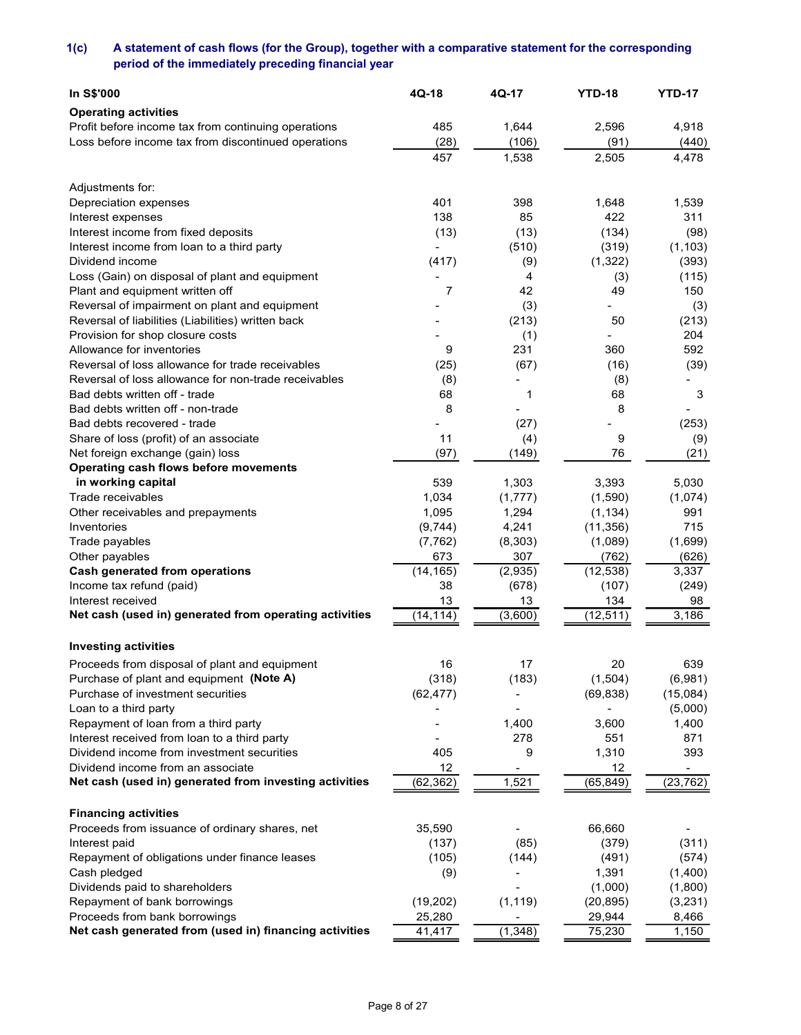# 1(c) A statement of cash flows (for the Group), together with a comparative statement for the corresponding period of the immediately preceding financial year

| In S\$'000                                                                                                 | 4Q-18              | 4Q-17            | <b>YTD-18</b>        | <b>YTD-17</b>            |
|------------------------------------------------------------------------------------------------------------|--------------------|------------------|----------------------|--------------------------|
| <b>Operating activities</b>                                                                                |                    |                  |                      |                          |
| Profit before income tax from continuing operations<br>Loss before income tax from discontinued operations | 485<br>(28)        | 1,644<br>(106)   | 2,596<br>(91)        | 4,918<br>(440)           |
|                                                                                                            | 457                | 1,538            | 2,505                | 4,478                    |
|                                                                                                            |                    |                  |                      |                          |
| Adjustments for:<br>Depreciation expenses                                                                  | 401                | 398              | 1,648                | 1,539                    |
| Interest expenses                                                                                          | 138                | 85               | 422                  | 311                      |
| Interest income from fixed deposits                                                                        | (13)               | (13)             | (134)                | (98)                     |
| Interest income from loan to a third party                                                                 |                    | (510)            | (319)                | (1, 103)                 |
| Dividend income<br>Loss (Gain) on disposal of plant and equipment                                          | (417)              | (9)<br>4         | (1, 322)<br>(3)      | (393)<br>(115)           |
| Plant and equipment written off                                                                            | $\overline{7}$     | 42               | 49                   | 150                      |
| Reversal of impairment on plant and equipment                                                              |                    | (3)              |                      | (3)                      |
| Reversal of liabilities (Liabilities) written back                                                         |                    | (213)            | 50                   | (213)                    |
| Provision for shop closure costs                                                                           |                    | (1)              | ٠                    | 204                      |
| Allowance for inventories<br>Reversal of loss allowance for trade receivables                              | 9<br>(25)          | 231<br>(67)      | 360<br>(16)          | 592<br>(39)              |
| Reversal of loss allowance for non-trade receivables                                                       | (8)                |                  | (8)                  |                          |
| Bad debts written off - trade                                                                              | 68                 | -1               | 68                   | 3                        |
| Bad debts written off - non-trade                                                                          | 8                  |                  | 8                    |                          |
| Bad debts recovered - trade                                                                                |                    | (27)             |                      | (253)                    |
| Share of loss (profit) of an associate                                                                     | 11                 | (4)              | 9                    | (9)                      |
| Net foreign exchange (gain) loss                                                                           | (97)               | (149)            | 76                   | (21)                     |
| Operating cash flows before movements<br>in working capital                                                | 539                | 1,303            | 3,393                | 5,030                    |
| Trade receivables                                                                                          | 1,034              | (1, 777)         | (1,590)              | (1,074)                  |
| Other receivables and prepayments                                                                          | 1,095              | 1,294            | (1, 134)             | 991                      |
| Inventories                                                                                                | (9,744)            | 4,241            | (11, 356)            | 715                      |
| Trade payables                                                                                             | (7, 762)           | (8, 303)         | (1,089)              | (1,699)                  |
| Other payables                                                                                             | 673                | 307              | (762)                | (626)                    |
| <b>Cash generated from operations</b>                                                                      | (14, 165)<br>38    | (2,935)<br>(678) | (12, 538)<br>(107)   | 3,337                    |
| Income tax refund (paid)<br>Interest received                                                              | 13                 | 13               | 134                  | (249)<br>98              |
| Net cash (used in) generated from operating activities                                                     | (14, 114)          | (3,600)          | (12, 511)            | 3,186                    |
|                                                                                                            |                    |                  |                      |                          |
| <b>Investing activities</b>                                                                                |                    |                  |                      |                          |
| Proceeds from disposal of plant and equipment                                                              | 16                 | 17               | 20                   | 639                      |
| Purchase of plant and equipment (Note A)<br>Purchase of investment securities                              | (318)<br>(62, 477) | (183)            | (1,504)<br>(69, 838) | (6,981)<br>(15,084)      |
| Loan to a third party                                                                                      |                    |                  |                      | (5,000)                  |
| Repayment of loan from a third party                                                                       |                    | 1,400            | 3,600                | 1,400                    |
| Interest received from loan to a third party                                                               |                    | 278              | 551                  | 871                      |
| Dividend income from investment securities                                                                 | 405                | 9                | 1,310                | 393                      |
| Dividend income from an associate                                                                          | 12                 | $\blacksquare$   | 12                   |                          |
| Net cash (used in) generated from investing activities                                                     | (62, 362)          | 1,521            | (65, 849)            | (23, 762)                |
| <b>Financing activities</b>                                                                                |                    |                  |                      |                          |
| Proceeds from issuance of ordinary shares, net                                                             | 35,590             |                  | 66,660               | $\overline{\phantom{a}}$ |
| Interest paid                                                                                              | (137)              | (85)             | (379)                | (311)                    |
| Repayment of obligations under finance leases                                                              | (105)              | (144)            | (491)                | (574)                    |
| Cash pledged<br>Dividends paid to shareholders                                                             | (9)                |                  | 1,391<br>(1,000)     | (1,400)<br>(1,800)       |
| Repayment of bank borrowings                                                                               | (19, 202)          | (1, 119)         | (20, 895)            | (3,231)                  |
| Proceeds from bank borrowings                                                                              | 25,280             | $\sim$           | 29,944               | 8,466                    |
| Net cash generated from (used in) financing activities                                                     | 41,417             | (1, 348)         | 75,230               | 1,150                    |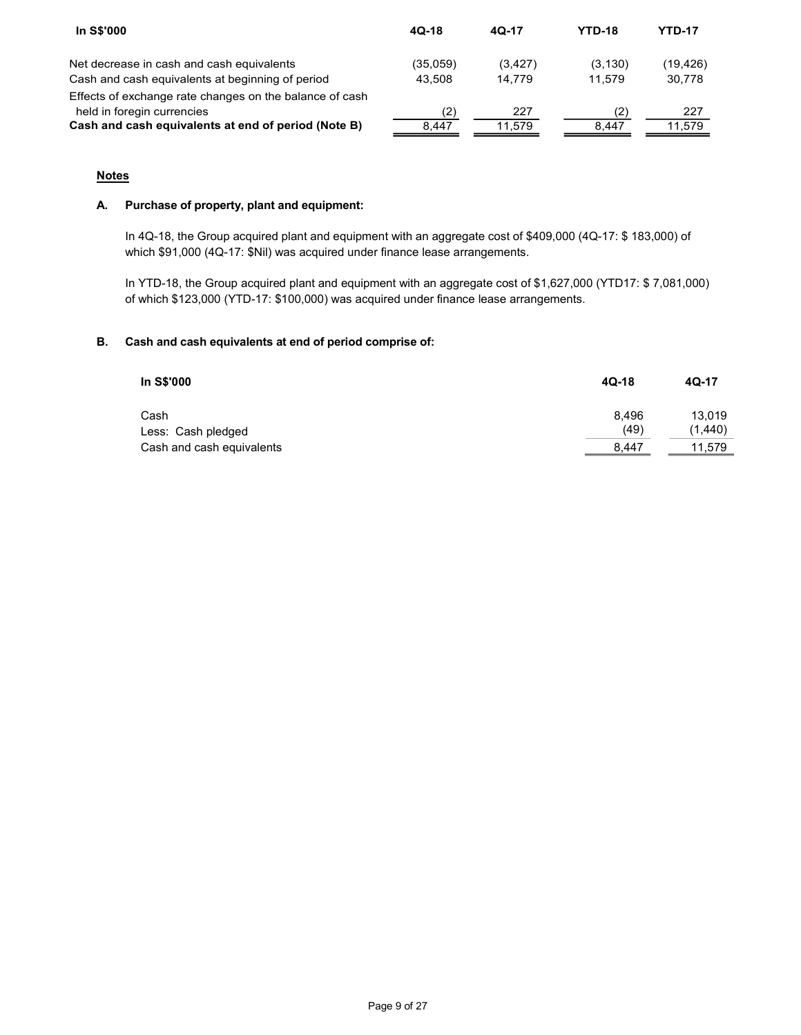| In S\$'000                                                                        | $4Q-18$      | 4Q-17         | <b>YTD-18</b> | <b>YTD-17</b> |
|-----------------------------------------------------------------------------------|--------------|---------------|---------------|---------------|
| Net decrease in cash and cash equivalents                                         | (35,059)     | (3, 427)      | (3, 130)      | (19, 426)     |
| Cash and cash equivalents at beginning of period                                  | 43,508       | 14,779        | 11,579        | 30,778        |
| Effects of exchange rate changes on the balance of cash                           |              |               |               |               |
| held in foregin currencies<br>Cash and cash equivalents at end of period (Note B) | (2)<br>8,447 | 227<br>11,579 | (2)<br>8,447  | 227<br>11,579 |

# **Notes**

# A. Purchase of property, plant and equipment:

In 4Q-18, the Group acquired plant and equipment with an aggregate cost of \$409,000 (4Q-17: \$ 183,000) of which \$91,000 (4Q-17: \$Nil) was acquired under finance lease arrangements.

In YTD-18, the Group acquired plant and equipment with an aggregate cost of \$1,627,000 (YTD17: \$ 7,081,000) of which \$123,000 (YTD-17: \$100,000) was acquired under finance lease arrangements.

# B. Cash and cash equivalents at end of period comprise of:

| In S\$'000                | $4Q-18$       | 4Q-17   |
|---------------------------|---------------|---------|
| Cash                      | 8.496<br>(49) | 13.019  |
| Less: Cash pledged        |               | (1,440) |
| Cash and cash equivalents | 8.447         | 11.579  |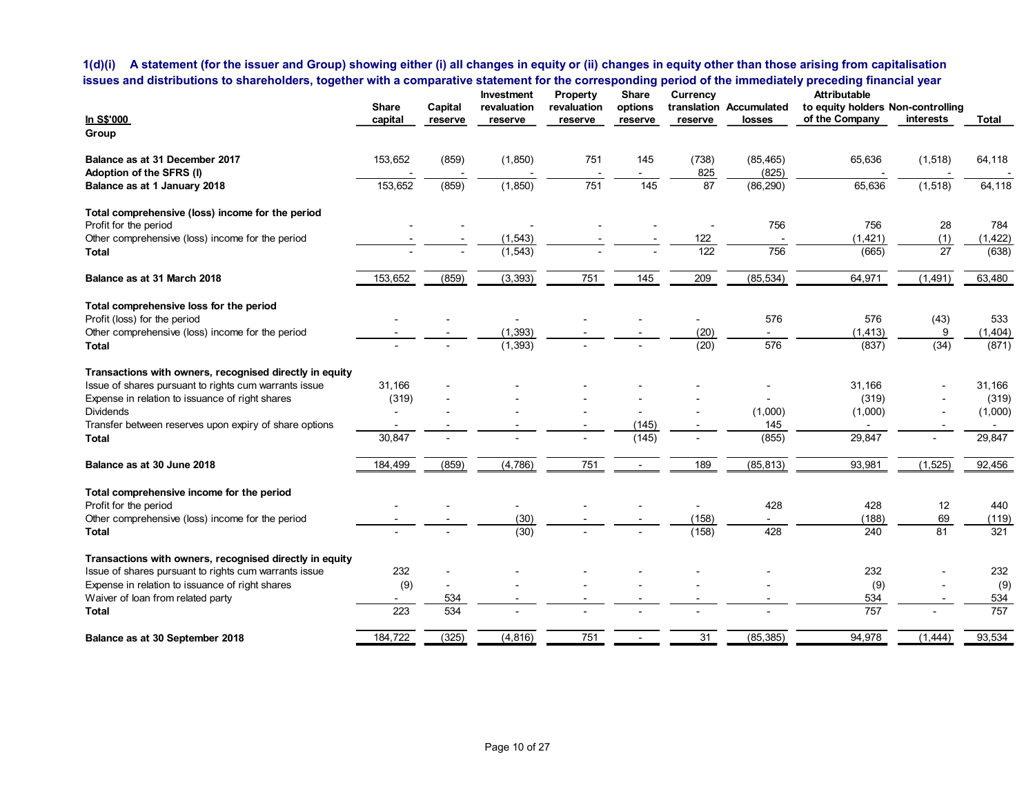# 1(d)(i) A statement (for the issuer and Group) showing either (i) all changes in equity or (ii) changes in equity other than those arising from capitalisation issues and distributions to shareholders, together with a comparative statement for the corresponding period of the immediately preceding financial year

| 1(d)(i) A statement (for the issuer and Group) showing either (i) all changes in equity or (ii) changes in equity other than those arising from capitalisation |                 |                          |                           |                         |                  |                          |                                    |                                                          |                          |                   |
|----------------------------------------------------------------------------------------------------------------------------------------------------------------|-----------------|--------------------------|---------------------------|-------------------------|------------------|--------------------------|------------------------------------|----------------------------------------------------------|--------------------------|-------------------|
|                                                                                                                                                                |                 |                          |                           |                         |                  |                          |                                    |                                                          |                          |                   |
|                                                                                                                                                                |                 |                          |                           |                         |                  |                          |                                    |                                                          |                          |                   |
|                                                                                                                                                                |                 |                          |                           |                         |                  |                          |                                    |                                                          |                          |                   |
|                                                                                                                                                                |                 |                          |                           |                         |                  |                          |                                    |                                                          |                          |                   |
|                                                                                                                                                                |                 |                          |                           |                         |                  |                          |                                    |                                                          |                          |                   |
|                                                                                                                                                                |                 |                          |                           |                         |                  |                          |                                    |                                                          |                          |                   |
|                                                                                                                                                                |                 |                          |                           |                         |                  |                          |                                    |                                                          |                          |                   |
|                                                                                                                                                                |                 |                          |                           |                         |                  |                          |                                    |                                                          |                          |                   |
|                                                                                                                                                                |                 |                          |                           |                         |                  |                          |                                    |                                                          |                          |                   |
|                                                                                                                                                                |                 |                          |                           |                         |                  |                          |                                    |                                                          |                          |                   |
| issues and distributions to shareholders, together with a comparative statement for the corresponding period of the immediately preceding financial year       |                 |                          |                           |                         |                  |                          |                                    |                                                          |                          |                   |
|                                                                                                                                                                | <b>Share</b>    | Capital                  | Investment<br>revaluation | Property<br>revaluation | Share<br>options | Currency                 | translation Accumulated            | <b>Attributable</b><br>to equity holders Non-controlling |                          |                   |
| <u>In S\$'000</u>                                                                                                                                              | capital         | reserve                  | reserve                   | reserve                 | reserve          | reserve                  | losses                             | of the Company                                           | interests                | Total             |
| Group                                                                                                                                                          |                 |                          |                           |                         |                  |                          |                                    |                                                          |                          |                   |
| Balance as at 31 December 2017                                                                                                                                 | 153,652         | (859)                    | (1, 850)                  | 751                     | 145              | (738)                    | (85, 465)                          | 65,636                                                   | (1, 518)                 | 64,118            |
| Adoption of the SFRS (I)                                                                                                                                       |                 |                          |                           |                         |                  | 825                      | (825)                              |                                                          |                          |                   |
| Balance as at 1 January 2018                                                                                                                                   | 153,652         | (859)                    | (1, 850)                  | $\overline{751}$        | 145              | 87                       | (86, 290)                          | 65,636                                                   | (1, 518)                 | 64,118            |
| Total comprehensive (loss) income for the period                                                                                                               |                 |                          |                           |                         |                  |                          |                                    |                                                          |                          |                   |
| Profit for the period                                                                                                                                          |                 |                          | $\sim$                    |                         |                  |                          | 756                                | 756                                                      | 28                       | 784               |
| Other comprehensive (loss) income for the period<br>Total                                                                                                      |                 |                          | (1, 543)<br>(1, 543)      |                         |                  | 122<br>122               | 756                                | (1, 421)<br>(665)                                        | (1)<br>27                | (1, 422)<br>(638) |
|                                                                                                                                                                |                 |                          |                           |                         |                  |                          |                                    |                                                          |                          |                   |
| Balance as at 31 March 2018                                                                                                                                    | 153,652         | (859)                    | (3, 393)                  | 751                     | 145              | 209                      | (85, 534)                          | 64,971                                                   | (1, 491)                 | 63,480            |
| Total comprehensive loss for the period                                                                                                                        |                 |                          |                           |                         |                  |                          |                                    |                                                          |                          |                   |
| Profit (loss) for the period                                                                                                                                   |                 |                          | $\overline{\phantom{a}}$  |                         |                  | $\overline{\phantom{a}}$ | 576                                | 576                                                      | (43)                     | 533               |
| Other comprehensive (loss) income for the period<br><b>Total</b>                                                                                               | $\sim$          | $\overline{\phantom{a}}$ | (1, 393)<br>(1, 393)      |                         |                  | (20)<br>(20)             | 576                                | (1, 413)<br>(837)                                        | 9<br>(34)                | (1,404)<br>(871)  |
|                                                                                                                                                                |                 |                          |                           |                         |                  |                          |                                    |                                                          |                          |                   |
| Transactions with owners, recognised directly in equity                                                                                                        |                 |                          |                           |                         |                  |                          |                                    |                                                          |                          |                   |
| Issue of shares pursuant to rights cum warrants issue<br>Expense in relation to issuance of right shares                                                       | 31,166<br>(319) |                          |                           |                         |                  |                          | $\overline{\phantom{a}}$<br>$\sim$ | 31,166<br>(319)                                          |                          | 31,166<br>(319)   |
| Dividends                                                                                                                                                      |                 |                          |                           |                         |                  |                          | (1,000)                            | (1,000)                                                  |                          | (1,000)           |
| Transfer between reserves upon expiry of share options                                                                                                         |                 |                          |                           |                         | (145)            |                          | 145                                | $\sim$                                                   |                          | $\sim$            |
| <b>Total</b>                                                                                                                                                   | 30,847          |                          |                           |                         | (145)            |                          | (855)                              | 29,847                                                   | $\overline{\phantom{a}}$ | 29,847            |
| Balance as at 30 June 2018                                                                                                                                     | 184,499         | (859)                    | (4,786)                   | 751                     | $\sim$           | 189                      | (85, 813)                          | 93,981                                                   | (1, 525)                 | 92,456            |
| Total comprehensive income for the period                                                                                                                      |                 |                          |                           |                         |                  |                          |                                    |                                                          |                          |                   |
| Profit for the period                                                                                                                                          |                 |                          | $\overline{\phantom{a}}$  |                         |                  | $\overline{\phantom{a}}$ | 428                                | 428                                                      | 12                       | 440               |
| Other comprehensive (loss) income for the period                                                                                                               |                 |                          | (30)                      |                         |                  | (158)                    | $\sim$                             | (188)                                                    | 69                       | (119)             |
| <b>Total</b>                                                                                                                                                   |                 |                          | (30)                      |                         |                  | (158)                    | 428                                | 240                                                      | 81                       | 321               |
| Transactions with owners, recognised directly in equity                                                                                                        |                 |                          |                           |                         |                  |                          |                                    |                                                          |                          |                   |
| Issue of shares pursuant to rights cum warrants issue                                                                                                          | 232             |                          |                           |                         |                  |                          |                                    | 232                                                      |                          | 232               |
| Expense in relation to issuance of right shares<br>Waiver of loan from related party                                                                           | (9)             | 534                      |                           |                         |                  |                          |                                    | (9)<br>534                                               |                          | (9)<br>534        |
| <b>Total</b>                                                                                                                                                   | 223             | 534                      |                           |                         |                  |                          |                                    | 757                                                      |                          | 757               |
|                                                                                                                                                                | 184,722         |                          | (4, 816)                  | 751                     | $\sim$           | 31                       | (85, 385)                          |                                                          |                          |                   |
| Balance as at 30 September 2018                                                                                                                                |                 | (325)                    |                           |                         |                  |                          |                                    | 94,978                                                   | (1, 444)                 | 93,534            |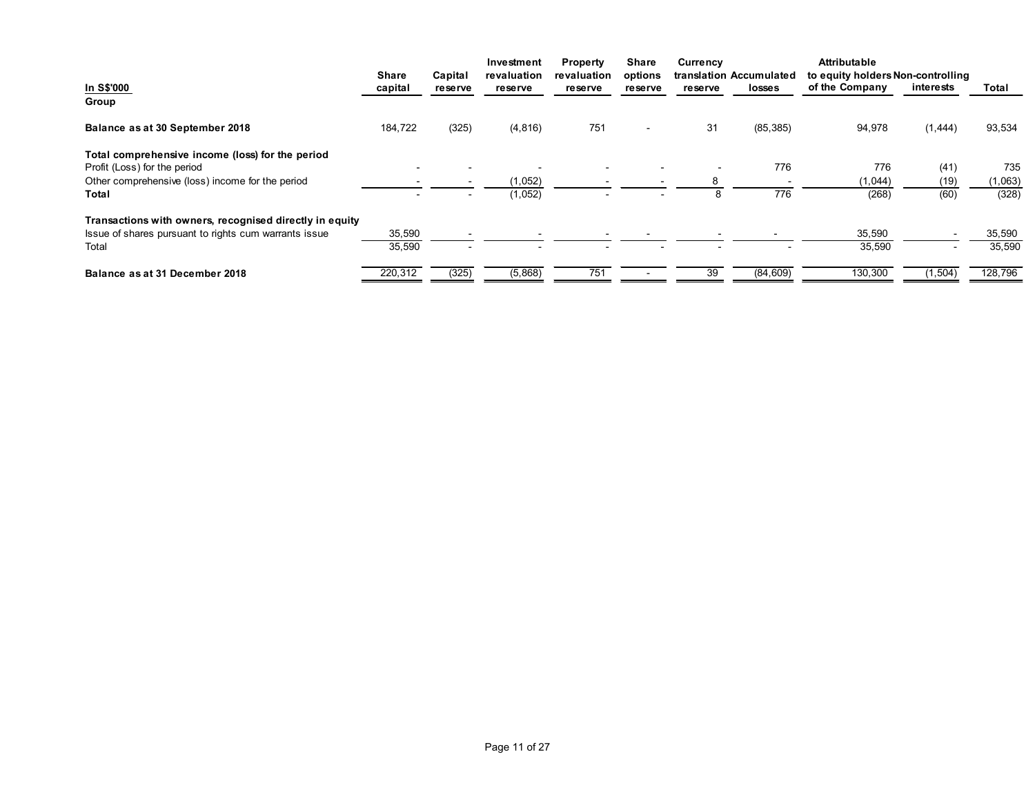| Attributable<br>Investment<br>Property<br>Share<br>Currency<br>translation Accumulated to equity holders Non-controlling<br><b>Share</b><br>Capital<br>revaluation<br>options<br>revaluation<br>of the Company<br>In S\$'000<br>interests<br>Total<br>capital<br>losses<br>reserve<br>reserve<br><b>re se rve</b><br>reserve<br>reserve<br>Group<br>184,722<br>(325)<br>(4, 816)<br>751<br>31<br>(85, 385)<br>Balance as at 30 September 2018<br>94,978<br>(1, 444)<br>93,534<br>$\overline{\phantom{a}}$<br>Total comprehensive income (loss) for the period<br>Profit (Loss) for the period<br>776<br>735<br>776<br>(41)<br>$\blacksquare$<br>$\sim$<br>$\overline{\phantom{a}}$<br>$\overline{\phantom{a}}$<br>Other comprehensive (loss) income for the period<br>(1,052)<br>(1,063)<br>(1,044)<br>(19)<br>8<br>$\sim$<br>$\sim$<br>$\overline{\phantom{a}}$<br>(1,052)<br>776<br>(328)<br>(268)<br>(60)<br>Total<br>8<br>Transactions with owners, recognised directly in equity<br>Issue of shares pursuant to rights cum warrants issue<br>35,590<br>35,590<br>35,590<br>35,590<br>35,590<br>Total<br>35,590<br>$\overline{\phantom{a}}$<br>130,300<br>220,312<br>(325)<br>(5,868)<br>751<br>(84, 609)<br>(1, 504)<br>128,796<br>39<br>Balance as at 31 December 2018<br>$\sim$ $-$ |  |  |  |  |  |  |
|--------------------------------------------------------------------------------------------------------------------------------------------------------------------------------------------------------------------------------------------------------------------------------------------------------------------------------------------------------------------------------------------------------------------------------------------------------------------------------------------------------------------------------------------------------------------------------------------------------------------------------------------------------------------------------------------------------------------------------------------------------------------------------------------------------------------------------------------------------------------------------------------------------------------------------------------------------------------------------------------------------------------------------------------------------------------------------------------------------------------------------------------------------------------------------------------------------------------------------------------------------------------------------------------|--|--|--|--|--|--|
|                                                                                                                                                                                                                                                                                                                                                                                                                                                                                                                                                                                                                                                                                                                                                                                                                                                                                                                                                                                                                                                                                                                                                                                                                                                                                            |  |  |  |  |  |  |
|                                                                                                                                                                                                                                                                                                                                                                                                                                                                                                                                                                                                                                                                                                                                                                                                                                                                                                                                                                                                                                                                                                                                                                                                                                                                                            |  |  |  |  |  |  |
|                                                                                                                                                                                                                                                                                                                                                                                                                                                                                                                                                                                                                                                                                                                                                                                                                                                                                                                                                                                                                                                                                                                                                                                                                                                                                            |  |  |  |  |  |  |
|                                                                                                                                                                                                                                                                                                                                                                                                                                                                                                                                                                                                                                                                                                                                                                                                                                                                                                                                                                                                                                                                                                                                                                                                                                                                                            |  |  |  |  |  |  |
|                                                                                                                                                                                                                                                                                                                                                                                                                                                                                                                                                                                                                                                                                                                                                                                                                                                                                                                                                                                                                                                                                                                                                                                                                                                                                            |  |  |  |  |  |  |
|                                                                                                                                                                                                                                                                                                                                                                                                                                                                                                                                                                                                                                                                                                                                                                                                                                                                                                                                                                                                                                                                                                                                                                                                                                                                                            |  |  |  |  |  |  |
|                                                                                                                                                                                                                                                                                                                                                                                                                                                                                                                                                                                                                                                                                                                                                                                                                                                                                                                                                                                                                                                                                                                                                                                                                                                                                            |  |  |  |  |  |  |
|                                                                                                                                                                                                                                                                                                                                                                                                                                                                                                                                                                                                                                                                                                                                                                                                                                                                                                                                                                                                                                                                                                                                                                                                                                                                                            |  |  |  |  |  |  |
|                                                                                                                                                                                                                                                                                                                                                                                                                                                                                                                                                                                                                                                                                                                                                                                                                                                                                                                                                                                                                                                                                                                                                                                                                                                                                            |  |  |  |  |  |  |
|                                                                                                                                                                                                                                                                                                                                                                                                                                                                                                                                                                                                                                                                                                                                                                                                                                                                                                                                                                                                                                                                                                                                                                                                                                                                                            |  |  |  |  |  |  |
|                                                                                                                                                                                                                                                                                                                                                                                                                                                                                                                                                                                                                                                                                                                                                                                                                                                                                                                                                                                                                                                                                                                                                                                                                                                                                            |  |  |  |  |  |  |
|                                                                                                                                                                                                                                                                                                                                                                                                                                                                                                                                                                                                                                                                                                                                                                                                                                                                                                                                                                                                                                                                                                                                                                                                                                                                                            |  |  |  |  |  |  |
|                                                                                                                                                                                                                                                                                                                                                                                                                                                                                                                                                                                                                                                                                                                                                                                                                                                                                                                                                                                                                                                                                                                                                                                                                                                                                            |  |  |  |  |  |  |
|                                                                                                                                                                                                                                                                                                                                                                                                                                                                                                                                                                                                                                                                                                                                                                                                                                                                                                                                                                                                                                                                                                                                                                                                                                                                                            |  |  |  |  |  |  |
|                                                                                                                                                                                                                                                                                                                                                                                                                                                                                                                                                                                                                                                                                                                                                                                                                                                                                                                                                                                                                                                                                                                                                                                                                                                                                            |  |  |  |  |  |  |
|                                                                                                                                                                                                                                                                                                                                                                                                                                                                                                                                                                                                                                                                                                                                                                                                                                                                                                                                                                                                                                                                                                                                                                                                                                                                                            |  |  |  |  |  |  |
|                                                                                                                                                                                                                                                                                                                                                                                                                                                                                                                                                                                                                                                                                                                                                                                                                                                                                                                                                                                                                                                                                                                                                                                                                                                                                            |  |  |  |  |  |  |
|                                                                                                                                                                                                                                                                                                                                                                                                                                                                                                                                                                                                                                                                                                                                                                                                                                                                                                                                                                                                                                                                                                                                                                                                                                                                                            |  |  |  |  |  |  |
|                                                                                                                                                                                                                                                                                                                                                                                                                                                                                                                                                                                                                                                                                                                                                                                                                                                                                                                                                                                                                                                                                                                                                                                                                                                                                            |  |  |  |  |  |  |
|                                                                                                                                                                                                                                                                                                                                                                                                                                                                                                                                                                                                                                                                                                                                                                                                                                                                                                                                                                                                                                                                                                                                                                                                                                                                                            |  |  |  |  |  |  |
|                                                                                                                                                                                                                                                                                                                                                                                                                                                                                                                                                                                                                                                                                                                                                                                                                                                                                                                                                                                                                                                                                                                                                                                                                                                                                            |  |  |  |  |  |  |
|                                                                                                                                                                                                                                                                                                                                                                                                                                                                                                                                                                                                                                                                                                                                                                                                                                                                                                                                                                                                                                                                                                                                                                                                                                                                                            |  |  |  |  |  |  |
|                                                                                                                                                                                                                                                                                                                                                                                                                                                                                                                                                                                                                                                                                                                                                                                                                                                                                                                                                                                                                                                                                                                                                                                                                                                                                            |  |  |  |  |  |  |
|                                                                                                                                                                                                                                                                                                                                                                                                                                                                                                                                                                                                                                                                                                                                                                                                                                                                                                                                                                                                                                                                                                                                                                                                                                                                                            |  |  |  |  |  |  |
|                                                                                                                                                                                                                                                                                                                                                                                                                                                                                                                                                                                                                                                                                                                                                                                                                                                                                                                                                                                                                                                                                                                                                                                                                                                                                            |  |  |  |  |  |  |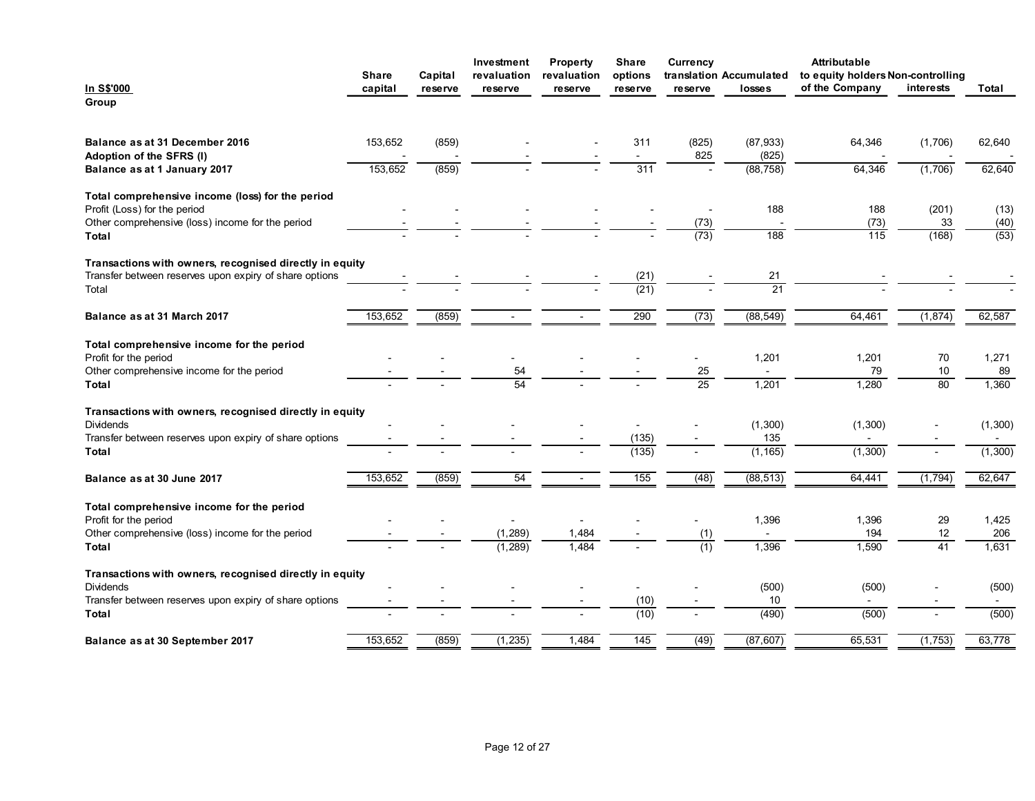| <b>Attributable</b><br>Property<br>Share<br>Currency<br>Investment<br>translation Accumulated<br>to equity holders Non-controlling<br>Capital<br>revaluation<br>revaluation<br>options<br>Share<br>of the Company<br>interests<br><u>In S\$'000</u><br>capital<br>losses<br>Total<br>reserve<br>reserve<br>reserve<br>reserve<br>reserve<br>Group<br>Balance as at 31 December 2016<br>153,652<br>(859)<br>311<br>(825)<br>(87, 933)<br>64,346<br>(1,706)<br>62,640<br>Adoption of the SFRS (I)<br>825<br>(825)<br>$\sim$<br>(859)<br>311<br>153,652<br>(88, 758)<br>64,346<br>(1,706)<br>62,640<br>Balance as at 1 January 2017<br>$\sim$<br>Total comprehensive income (loss) for the period<br>188<br>Profit (Loss) for the period<br>188<br>(201)<br>(13)<br>Other comprehensive (loss) income for the period<br>(73)<br>(73)<br>33<br>(40)<br>(73)<br>$\overline{115}$<br>$\overline{188}$<br>(168)<br>$\overline{(53)}$<br>Total<br>Transactions with owners, recognised directly in equity<br>Transfer between reserves upon expiry of share options<br>(21)<br>21<br>$\overline{21}$<br>(21)<br>Total<br>290<br>(73)<br>62,587<br>153,652<br>(859)<br>(88, 549)<br>64,461<br>(1, 874)<br>Balance as at 31 March 2017<br>$\sim$<br>$\sim$<br>Total comprehensive income for the period<br>Profit for the period<br>1,201<br>1,201<br>70<br>1,271<br>$\sim$<br>$\sim$<br>$\overline{\phantom{a}}$<br>$\overline{\phantom{a}}$<br>$\sim$<br>$\sim$<br>$25\,$<br>79<br>Other comprehensive income for the period<br>54<br>$10\,$<br>89<br>$\sim$<br>25<br>80<br>54<br>1,201<br>1,280<br>1,360<br>Total<br>Transactions with owners, recognised directly in equity<br>Dividends<br>(1,300)<br>(1,300)<br>(1,300)<br>$\blacksquare$<br>Transfer between reserves upon expiry of share options<br>(135)<br>135<br>$\sim$<br>$\sim$<br>(1, 165)<br>(1,300)<br>(135)<br>(1,300)<br>Total<br>$\sim$<br>$\overline{\phantom{a}}$<br>Balance as at 30 June 2017<br>153,652<br>(859)<br>54<br>(48)<br>(88, 513)<br>64,441<br>62,647<br>$\overline{155}$<br>(1,794)<br>$\sim$<br>Total comprehensive income for the period<br>Profit for the period<br>1,396<br>29<br>1,396<br>1,425<br>$\sim$<br>$\sim$<br>(1, 289)<br>(1)<br>12<br>Other comprehensive (loss) income for the period<br>1,484<br>194<br>206<br>$\sim$<br>(1, 289)<br>1,396<br>1,590<br>41<br>Total<br>1,484<br>(1)<br>1,631<br>$\sim$<br>Transactions with owners, recognised directly in equity<br>Dividends<br>(500)<br>(500)<br>(500)<br>$\sim$<br>Transfer between reserves upon expiry of share options<br>(10)<br>10<br>$\sim$<br>$\sim$<br>$\overline{\phantom{a}}$<br>(490)<br>(500)<br>(500)<br>(10)<br>Total<br>$\overline{\phantom{a}}$<br>$\overline{\phantom{a}}$<br>$\sim$<br>$\overline{\phantom{0}}$<br>Balance as at 30 September 2017<br>153,652<br>(859)<br>(1, 235)<br>1,484<br>145<br>(49)<br>(87, 607)<br>65,531<br>(1,753)<br>63,778 |  |  |  |  |  |  |
|------------------------------------------------------------------------------------------------------------------------------------------------------------------------------------------------------------------------------------------------------------------------------------------------------------------------------------------------------------------------------------------------------------------------------------------------------------------------------------------------------------------------------------------------------------------------------------------------------------------------------------------------------------------------------------------------------------------------------------------------------------------------------------------------------------------------------------------------------------------------------------------------------------------------------------------------------------------------------------------------------------------------------------------------------------------------------------------------------------------------------------------------------------------------------------------------------------------------------------------------------------------------------------------------------------------------------------------------------------------------------------------------------------------------------------------------------------------------------------------------------------------------------------------------------------------------------------------------------------------------------------------------------------------------------------------------------------------------------------------------------------------------------------------------------------------------------------------------------------------------------------------------------------------------------------------------------------------------------------------------------------------------------------------------------------------------------------------------------------------------------------------------------------------------------------------------------------------------------------------------------------------------------------------------------------------------------------------------------------------------------------------------------------------------------------------------------------------------------------------------------------------------------------------------------------------------------------------------------------------------------------------------------------------------------------------------------------------------------------------------------------------------------------------------------------------------------------------------------------------------------------------------------------------------|--|--|--|--|--|--|
|                                                                                                                                                                                                                                                                                                                                                                                                                                                                                                                                                                                                                                                                                                                                                                                                                                                                                                                                                                                                                                                                                                                                                                                                                                                                                                                                                                                                                                                                                                                                                                                                                                                                                                                                                                                                                                                                                                                                                                                                                                                                                                                                                                                                                                                                                                                                                                                                                                                                                                                                                                                                                                                                                                                                                                                                                                                                                                                        |  |  |  |  |  |  |
|                                                                                                                                                                                                                                                                                                                                                                                                                                                                                                                                                                                                                                                                                                                                                                                                                                                                                                                                                                                                                                                                                                                                                                                                                                                                                                                                                                                                                                                                                                                                                                                                                                                                                                                                                                                                                                                                                                                                                                                                                                                                                                                                                                                                                                                                                                                                                                                                                                                                                                                                                                                                                                                                                                                                                                                                                                                                                                                        |  |  |  |  |  |  |
|                                                                                                                                                                                                                                                                                                                                                                                                                                                                                                                                                                                                                                                                                                                                                                                                                                                                                                                                                                                                                                                                                                                                                                                                                                                                                                                                                                                                                                                                                                                                                                                                                                                                                                                                                                                                                                                                                                                                                                                                                                                                                                                                                                                                                                                                                                                                                                                                                                                                                                                                                                                                                                                                                                                                                                                                                                                                                                                        |  |  |  |  |  |  |
|                                                                                                                                                                                                                                                                                                                                                                                                                                                                                                                                                                                                                                                                                                                                                                                                                                                                                                                                                                                                                                                                                                                                                                                                                                                                                                                                                                                                                                                                                                                                                                                                                                                                                                                                                                                                                                                                                                                                                                                                                                                                                                                                                                                                                                                                                                                                                                                                                                                                                                                                                                                                                                                                                                                                                                                                                                                                                                                        |  |  |  |  |  |  |
|                                                                                                                                                                                                                                                                                                                                                                                                                                                                                                                                                                                                                                                                                                                                                                                                                                                                                                                                                                                                                                                                                                                                                                                                                                                                                                                                                                                                                                                                                                                                                                                                                                                                                                                                                                                                                                                                                                                                                                                                                                                                                                                                                                                                                                                                                                                                                                                                                                                                                                                                                                                                                                                                                                                                                                                                                                                                                                                        |  |  |  |  |  |  |
|                                                                                                                                                                                                                                                                                                                                                                                                                                                                                                                                                                                                                                                                                                                                                                                                                                                                                                                                                                                                                                                                                                                                                                                                                                                                                                                                                                                                                                                                                                                                                                                                                                                                                                                                                                                                                                                                                                                                                                                                                                                                                                                                                                                                                                                                                                                                                                                                                                                                                                                                                                                                                                                                                                                                                                                                                                                                                                                        |  |  |  |  |  |  |
|                                                                                                                                                                                                                                                                                                                                                                                                                                                                                                                                                                                                                                                                                                                                                                                                                                                                                                                                                                                                                                                                                                                                                                                                                                                                                                                                                                                                                                                                                                                                                                                                                                                                                                                                                                                                                                                                                                                                                                                                                                                                                                                                                                                                                                                                                                                                                                                                                                                                                                                                                                                                                                                                                                                                                                                                                                                                                                                        |  |  |  |  |  |  |
|                                                                                                                                                                                                                                                                                                                                                                                                                                                                                                                                                                                                                                                                                                                                                                                                                                                                                                                                                                                                                                                                                                                                                                                                                                                                                                                                                                                                                                                                                                                                                                                                                                                                                                                                                                                                                                                                                                                                                                                                                                                                                                                                                                                                                                                                                                                                                                                                                                                                                                                                                                                                                                                                                                                                                                                                                                                                                                                        |  |  |  |  |  |  |
|                                                                                                                                                                                                                                                                                                                                                                                                                                                                                                                                                                                                                                                                                                                                                                                                                                                                                                                                                                                                                                                                                                                                                                                                                                                                                                                                                                                                                                                                                                                                                                                                                                                                                                                                                                                                                                                                                                                                                                                                                                                                                                                                                                                                                                                                                                                                                                                                                                                                                                                                                                                                                                                                                                                                                                                                                                                                                                                        |  |  |  |  |  |  |
|                                                                                                                                                                                                                                                                                                                                                                                                                                                                                                                                                                                                                                                                                                                                                                                                                                                                                                                                                                                                                                                                                                                                                                                                                                                                                                                                                                                                                                                                                                                                                                                                                                                                                                                                                                                                                                                                                                                                                                                                                                                                                                                                                                                                                                                                                                                                                                                                                                                                                                                                                                                                                                                                                                                                                                                                                                                                                                                        |  |  |  |  |  |  |
|                                                                                                                                                                                                                                                                                                                                                                                                                                                                                                                                                                                                                                                                                                                                                                                                                                                                                                                                                                                                                                                                                                                                                                                                                                                                                                                                                                                                                                                                                                                                                                                                                                                                                                                                                                                                                                                                                                                                                                                                                                                                                                                                                                                                                                                                                                                                                                                                                                                                                                                                                                                                                                                                                                                                                                                                                                                                                                                        |  |  |  |  |  |  |
|                                                                                                                                                                                                                                                                                                                                                                                                                                                                                                                                                                                                                                                                                                                                                                                                                                                                                                                                                                                                                                                                                                                                                                                                                                                                                                                                                                                                                                                                                                                                                                                                                                                                                                                                                                                                                                                                                                                                                                                                                                                                                                                                                                                                                                                                                                                                                                                                                                                                                                                                                                                                                                                                                                                                                                                                                                                                                                                        |  |  |  |  |  |  |
|                                                                                                                                                                                                                                                                                                                                                                                                                                                                                                                                                                                                                                                                                                                                                                                                                                                                                                                                                                                                                                                                                                                                                                                                                                                                                                                                                                                                                                                                                                                                                                                                                                                                                                                                                                                                                                                                                                                                                                                                                                                                                                                                                                                                                                                                                                                                                                                                                                                                                                                                                                                                                                                                                                                                                                                                                                                                                                                        |  |  |  |  |  |  |
|                                                                                                                                                                                                                                                                                                                                                                                                                                                                                                                                                                                                                                                                                                                                                                                                                                                                                                                                                                                                                                                                                                                                                                                                                                                                                                                                                                                                                                                                                                                                                                                                                                                                                                                                                                                                                                                                                                                                                                                                                                                                                                                                                                                                                                                                                                                                                                                                                                                                                                                                                                                                                                                                                                                                                                                                                                                                                                                        |  |  |  |  |  |  |
|                                                                                                                                                                                                                                                                                                                                                                                                                                                                                                                                                                                                                                                                                                                                                                                                                                                                                                                                                                                                                                                                                                                                                                                                                                                                                                                                                                                                                                                                                                                                                                                                                                                                                                                                                                                                                                                                                                                                                                                                                                                                                                                                                                                                                                                                                                                                                                                                                                                                                                                                                                                                                                                                                                                                                                                                                                                                                                                        |  |  |  |  |  |  |
|                                                                                                                                                                                                                                                                                                                                                                                                                                                                                                                                                                                                                                                                                                                                                                                                                                                                                                                                                                                                                                                                                                                                                                                                                                                                                                                                                                                                                                                                                                                                                                                                                                                                                                                                                                                                                                                                                                                                                                                                                                                                                                                                                                                                                                                                                                                                                                                                                                                                                                                                                                                                                                                                                                                                                                                                                                                                                                                        |  |  |  |  |  |  |
|                                                                                                                                                                                                                                                                                                                                                                                                                                                                                                                                                                                                                                                                                                                                                                                                                                                                                                                                                                                                                                                                                                                                                                                                                                                                                                                                                                                                                                                                                                                                                                                                                                                                                                                                                                                                                                                                                                                                                                                                                                                                                                                                                                                                                                                                                                                                                                                                                                                                                                                                                                                                                                                                                                                                                                                                                                                                                                                        |  |  |  |  |  |  |
|                                                                                                                                                                                                                                                                                                                                                                                                                                                                                                                                                                                                                                                                                                                                                                                                                                                                                                                                                                                                                                                                                                                                                                                                                                                                                                                                                                                                                                                                                                                                                                                                                                                                                                                                                                                                                                                                                                                                                                                                                                                                                                                                                                                                                                                                                                                                                                                                                                                                                                                                                                                                                                                                                                                                                                                                                                                                                                                        |  |  |  |  |  |  |
|                                                                                                                                                                                                                                                                                                                                                                                                                                                                                                                                                                                                                                                                                                                                                                                                                                                                                                                                                                                                                                                                                                                                                                                                                                                                                                                                                                                                                                                                                                                                                                                                                                                                                                                                                                                                                                                                                                                                                                                                                                                                                                                                                                                                                                                                                                                                                                                                                                                                                                                                                                                                                                                                                                                                                                                                                                                                                                                        |  |  |  |  |  |  |
|                                                                                                                                                                                                                                                                                                                                                                                                                                                                                                                                                                                                                                                                                                                                                                                                                                                                                                                                                                                                                                                                                                                                                                                                                                                                                                                                                                                                                                                                                                                                                                                                                                                                                                                                                                                                                                                                                                                                                                                                                                                                                                                                                                                                                                                                                                                                                                                                                                                                                                                                                                                                                                                                                                                                                                                                                                                                                                                        |  |  |  |  |  |  |
|                                                                                                                                                                                                                                                                                                                                                                                                                                                                                                                                                                                                                                                                                                                                                                                                                                                                                                                                                                                                                                                                                                                                                                                                                                                                                                                                                                                                                                                                                                                                                                                                                                                                                                                                                                                                                                                                                                                                                                                                                                                                                                                                                                                                                                                                                                                                                                                                                                                                                                                                                                                                                                                                                                                                                                                                                                                                                                                        |  |  |  |  |  |  |
|                                                                                                                                                                                                                                                                                                                                                                                                                                                                                                                                                                                                                                                                                                                                                                                                                                                                                                                                                                                                                                                                                                                                                                                                                                                                                                                                                                                                                                                                                                                                                                                                                                                                                                                                                                                                                                                                                                                                                                                                                                                                                                                                                                                                                                                                                                                                                                                                                                                                                                                                                                                                                                                                                                                                                                                                                                                                                                                        |  |  |  |  |  |  |
|                                                                                                                                                                                                                                                                                                                                                                                                                                                                                                                                                                                                                                                                                                                                                                                                                                                                                                                                                                                                                                                                                                                                                                                                                                                                                                                                                                                                                                                                                                                                                                                                                                                                                                                                                                                                                                                                                                                                                                                                                                                                                                                                                                                                                                                                                                                                                                                                                                                                                                                                                                                                                                                                                                                                                                                                                                                                                                                        |  |  |  |  |  |  |
|                                                                                                                                                                                                                                                                                                                                                                                                                                                                                                                                                                                                                                                                                                                                                                                                                                                                                                                                                                                                                                                                                                                                                                                                                                                                                                                                                                                                                                                                                                                                                                                                                                                                                                                                                                                                                                                                                                                                                                                                                                                                                                                                                                                                                                                                                                                                                                                                                                                                                                                                                                                                                                                                                                                                                                                                                                                                                                                        |  |  |  |  |  |  |
|                                                                                                                                                                                                                                                                                                                                                                                                                                                                                                                                                                                                                                                                                                                                                                                                                                                                                                                                                                                                                                                                                                                                                                                                                                                                                                                                                                                                                                                                                                                                                                                                                                                                                                                                                                                                                                                                                                                                                                                                                                                                                                                                                                                                                                                                                                                                                                                                                                                                                                                                                                                                                                                                                                                                                                                                                                                                                                                        |  |  |  |  |  |  |
|                                                                                                                                                                                                                                                                                                                                                                                                                                                                                                                                                                                                                                                                                                                                                                                                                                                                                                                                                                                                                                                                                                                                                                                                                                                                                                                                                                                                                                                                                                                                                                                                                                                                                                                                                                                                                                                                                                                                                                                                                                                                                                                                                                                                                                                                                                                                                                                                                                                                                                                                                                                                                                                                                                                                                                                                                                                                                                                        |  |  |  |  |  |  |
|                                                                                                                                                                                                                                                                                                                                                                                                                                                                                                                                                                                                                                                                                                                                                                                                                                                                                                                                                                                                                                                                                                                                                                                                                                                                                                                                                                                                                                                                                                                                                                                                                                                                                                                                                                                                                                                                                                                                                                                                                                                                                                                                                                                                                                                                                                                                                                                                                                                                                                                                                                                                                                                                                                                                                                                                                                                                                                                        |  |  |  |  |  |  |
|                                                                                                                                                                                                                                                                                                                                                                                                                                                                                                                                                                                                                                                                                                                                                                                                                                                                                                                                                                                                                                                                                                                                                                                                                                                                                                                                                                                                                                                                                                                                                                                                                                                                                                                                                                                                                                                                                                                                                                                                                                                                                                                                                                                                                                                                                                                                                                                                                                                                                                                                                                                                                                                                                                                                                                                                                                                                                                                        |  |  |  |  |  |  |
|                                                                                                                                                                                                                                                                                                                                                                                                                                                                                                                                                                                                                                                                                                                                                                                                                                                                                                                                                                                                                                                                                                                                                                                                                                                                                                                                                                                                                                                                                                                                                                                                                                                                                                                                                                                                                                                                                                                                                                                                                                                                                                                                                                                                                                                                                                                                                                                                                                                                                                                                                                                                                                                                                                                                                                                                                                                                                                                        |  |  |  |  |  |  |
|                                                                                                                                                                                                                                                                                                                                                                                                                                                                                                                                                                                                                                                                                                                                                                                                                                                                                                                                                                                                                                                                                                                                                                                                                                                                                                                                                                                                                                                                                                                                                                                                                                                                                                                                                                                                                                                                                                                                                                                                                                                                                                                                                                                                                                                                                                                                                                                                                                                                                                                                                                                                                                                                                                                                                                                                                                                                                                                        |  |  |  |  |  |  |
|                                                                                                                                                                                                                                                                                                                                                                                                                                                                                                                                                                                                                                                                                                                                                                                                                                                                                                                                                                                                                                                                                                                                                                                                                                                                                                                                                                                                                                                                                                                                                                                                                                                                                                                                                                                                                                                                                                                                                                                                                                                                                                                                                                                                                                                                                                                                                                                                                                                                                                                                                                                                                                                                                                                                                                                                                                                                                                                        |  |  |  |  |  |  |
|                                                                                                                                                                                                                                                                                                                                                                                                                                                                                                                                                                                                                                                                                                                                                                                                                                                                                                                                                                                                                                                                                                                                                                                                                                                                                                                                                                                                                                                                                                                                                                                                                                                                                                                                                                                                                                                                                                                                                                                                                                                                                                                                                                                                                                                                                                                                                                                                                                                                                                                                                                                                                                                                                                                                                                                                                                                                                                                        |  |  |  |  |  |  |
|                                                                                                                                                                                                                                                                                                                                                                                                                                                                                                                                                                                                                                                                                                                                                                                                                                                                                                                                                                                                                                                                                                                                                                                                                                                                                                                                                                                                                                                                                                                                                                                                                                                                                                                                                                                                                                                                                                                                                                                                                                                                                                                                                                                                                                                                                                                                                                                                                                                                                                                                                                                                                                                                                                                                                                                                                                                                                                                        |  |  |  |  |  |  |
|                                                                                                                                                                                                                                                                                                                                                                                                                                                                                                                                                                                                                                                                                                                                                                                                                                                                                                                                                                                                                                                                                                                                                                                                                                                                                                                                                                                                                                                                                                                                                                                                                                                                                                                                                                                                                                                                                                                                                                                                                                                                                                                                                                                                                                                                                                                                                                                                                                                                                                                                                                                                                                                                                                                                                                                                                                                                                                                        |  |  |  |  |  |  |
|                                                                                                                                                                                                                                                                                                                                                                                                                                                                                                                                                                                                                                                                                                                                                                                                                                                                                                                                                                                                                                                                                                                                                                                                                                                                                                                                                                                                                                                                                                                                                                                                                                                                                                                                                                                                                                                                                                                                                                                                                                                                                                                                                                                                                                                                                                                                                                                                                                                                                                                                                                                                                                                                                                                                                                                                                                                                                                                        |  |  |  |  |  |  |
|                                                                                                                                                                                                                                                                                                                                                                                                                                                                                                                                                                                                                                                                                                                                                                                                                                                                                                                                                                                                                                                                                                                                                                                                                                                                                                                                                                                                                                                                                                                                                                                                                                                                                                                                                                                                                                                                                                                                                                                                                                                                                                                                                                                                                                                                                                                                                                                                                                                                                                                                                                                                                                                                                                                                                                                                                                                                                                                        |  |  |  |  |  |  |
|                                                                                                                                                                                                                                                                                                                                                                                                                                                                                                                                                                                                                                                                                                                                                                                                                                                                                                                                                                                                                                                                                                                                                                                                                                                                                                                                                                                                                                                                                                                                                                                                                                                                                                                                                                                                                                                                                                                                                                                                                                                                                                                                                                                                                                                                                                                                                                                                                                                                                                                                                                                                                                                                                                                                                                                                                                                                                                                        |  |  |  |  |  |  |
|                                                                                                                                                                                                                                                                                                                                                                                                                                                                                                                                                                                                                                                                                                                                                                                                                                                                                                                                                                                                                                                                                                                                                                                                                                                                                                                                                                                                                                                                                                                                                                                                                                                                                                                                                                                                                                                                                                                                                                                                                                                                                                                                                                                                                                                                                                                                                                                                                                                                                                                                                                                                                                                                                                                                                                                                                                                                                                                        |  |  |  |  |  |  |
|                                                                                                                                                                                                                                                                                                                                                                                                                                                                                                                                                                                                                                                                                                                                                                                                                                                                                                                                                                                                                                                                                                                                                                                                                                                                                                                                                                                                                                                                                                                                                                                                                                                                                                                                                                                                                                                                                                                                                                                                                                                                                                                                                                                                                                                                                                                                                                                                                                                                                                                                                                                                                                                                                                                                                                                                                                                                                                                        |  |  |  |  |  |  |
|                                                                                                                                                                                                                                                                                                                                                                                                                                                                                                                                                                                                                                                                                                                                                                                                                                                                                                                                                                                                                                                                                                                                                                                                                                                                                                                                                                                                                                                                                                                                                                                                                                                                                                                                                                                                                                                                                                                                                                                                                                                                                                                                                                                                                                                                                                                                                                                                                                                                                                                                                                                                                                                                                                                                                                                                                                                                                                                        |  |  |  |  |  |  |
|                                                                                                                                                                                                                                                                                                                                                                                                                                                                                                                                                                                                                                                                                                                                                                                                                                                                                                                                                                                                                                                                                                                                                                                                                                                                                                                                                                                                                                                                                                                                                                                                                                                                                                                                                                                                                                                                                                                                                                                                                                                                                                                                                                                                                                                                                                                                                                                                                                                                                                                                                                                                                                                                                                                                                                                                                                                                                                                        |  |  |  |  |  |  |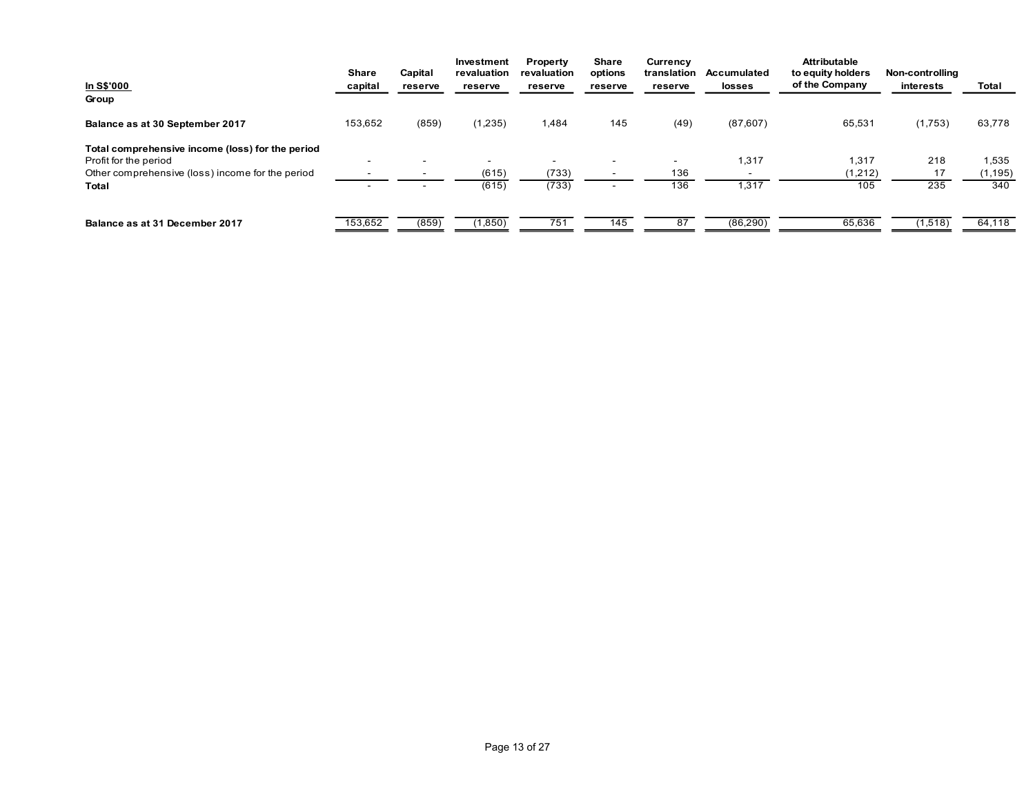| In S\$'000                                                                | Share<br>capital         | Capital<br>reserve                 | Investment<br>revaluation<br>reserve | Property<br>revaluation<br>reserve | Share<br>options<br>reserve | Currency<br>reserve | translation Accumulated<br>losses | Attributable<br>to equity holders<br>of the Company | Non-controlling<br>interests | Total           |
|---------------------------------------------------------------------------|--------------------------|------------------------------------|--------------------------------------|------------------------------------|-----------------------------|---------------------|-----------------------------------|-----------------------------------------------------|------------------------------|-----------------|
| Group                                                                     |                          |                                    |                                      |                                    |                             |                     |                                   |                                                     |                              |                 |
| Balance as at 30 September 2017                                           | 153,652                  | (859)                              | (1,235)                              | 1,484                              | 145                         | (49)                | (87, 607)                         | 65,531                                              | (1,753)                      | 63,778          |
| Total comprehensive income (loss) for the period<br>Profit for the period | $\sim$                   |                                    | $\sim$                               | $\sim$                             | $\overline{\phantom{a}}$    | $\sim$              | 1,317                             | 1,317                                               | 218                          | 1,535           |
| Other comprehensive (loss) income for the period<br><b>Total</b>          | $\sim$ $-$<br>$\sim$ $-$ | $\overline{\phantom{a}}$<br>$\sim$ | (615)<br>(615)                       | (733)<br>(733)                     | $\sim$<br>$\sim$            | 136<br>136          | $\sim$<br>1,317                   | (1,212)<br>105                                      | 17<br>235                    | (1, 195)<br>340 |
| Balance as at 31 December 2017                                            | 153,652                  | (859)                              | (1,850)                              | 751                                | 145                         | 87                  | (86,290)                          | 65,636                                              | (1,518)                      | 64,118          |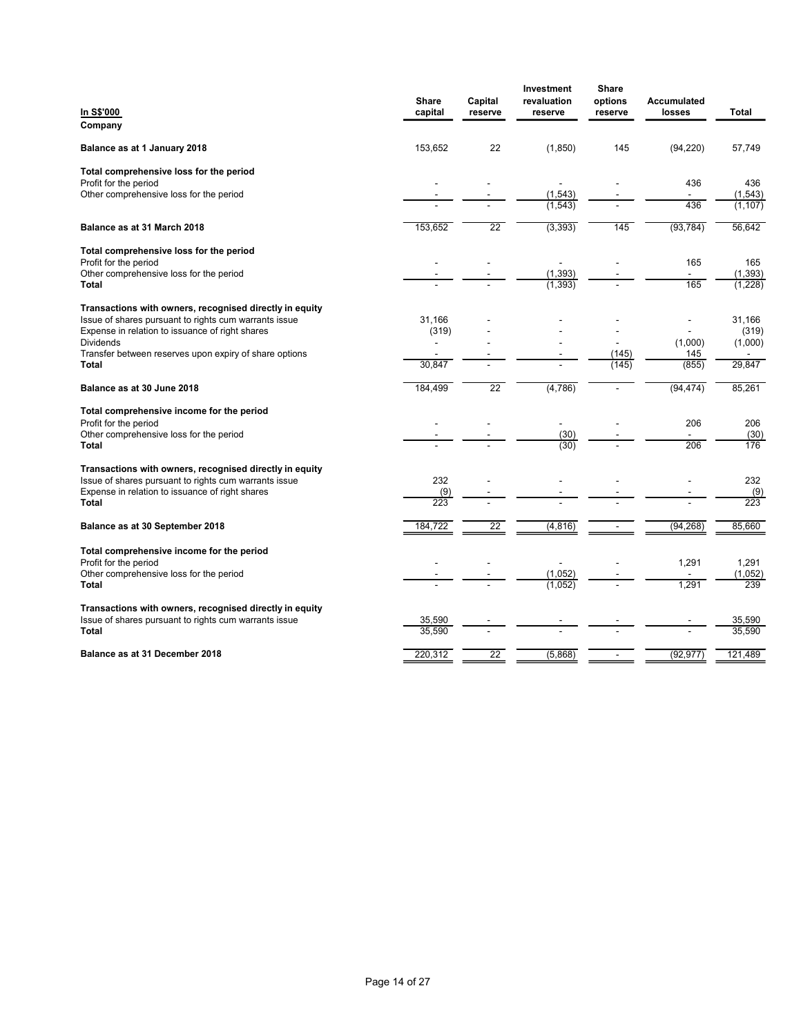| Share   | Capital                                                            | revaluation                | options                                                                     | Accumulated                      |                                                                                                                                          |
|---------|--------------------------------------------------------------------|----------------------------|-----------------------------------------------------------------------------|----------------------------------|------------------------------------------------------------------------------------------------------------------------------------------|
|         |                                                                    |                            |                                                                             |                                  | Total                                                                                                                                    |
|         |                                                                    |                            |                                                                             |                                  | 57,749                                                                                                                                   |
|         |                                                                    |                            |                                                                             |                                  |                                                                                                                                          |
|         |                                                                    | $\blacksquare$             |                                                                             | 436                              | 436<br>(1, 543)                                                                                                                          |
|         |                                                                    | (1, 543)                   |                                                                             | 436                              | (1, 107)                                                                                                                                 |
| 153,652 | 22                                                                 | (3, 393)                   | 145                                                                         | (93, 784)                        | 56,642                                                                                                                                   |
|         |                                                                    |                            |                                                                             |                                  |                                                                                                                                          |
| ۰       |                                                                    | $\blacksquare$<br>(1, 393) |                                                                             | $\blacksquare$                   | 165<br>(1, 393)                                                                                                                          |
|         |                                                                    | (1, 393)                   |                                                                             |                                  | (1,228)                                                                                                                                  |
|         |                                                                    |                            |                                                                             |                                  | 31,166                                                                                                                                   |
| (319)   |                                                                    |                            |                                                                             | $\qquad \qquad \blacksquare$     | (319)                                                                                                                                    |
|         |                                                                    |                            | (145)                                                                       | $145$                            | (1,000)<br>$\sim$                                                                                                                        |
|         |                                                                    |                            |                                                                             |                                  | 29,847                                                                                                                                   |
|         |                                                                    |                            | $\blacksquare$                                                              |                                  | 85,261                                                                                                                                   |
|         |                                                                    | $\blacksquare$             |                                                                             |                                  | 206                                                                                                                                      |
|         |                                                                    | (30)                       |                                                                             | $\blacksquare$                   | (30)<br>176                                                                                                                              |
|         |                                                                    |                            |                                                                             |                                  |                                                                                                                                          |
| 232     |                                                                    |                            |                                                                             | $\blacksquare$                   | 232                                                                                                                                      |
| 223     |                                                                    |                            |                                                                             |                                  | $\frac{(9)}{223}$                                                                                                                        |
| 184,722 | $\overline{22}$                                                    | (4,816)                    |                                                                             | (94, 268)                        | 85,660                                                                                                                                   |
|         |                                                                    |                            |                                                                             |                                  |                                                                                                                                          |
|         |                                                                    | $\blacksquare$             |                                                                             | 1,291                            | 1,291<br>(1,052)                                                                                                                         |
|         |                                                                    | (1,052)                    |                                                                             | 1,291                            | 239                                                                                                                                      |
|         |                                                                    |                            |                                                                             |                                  |                                                                                                                                          |
| 35,590  |                                                                    |                            |                                                                             | $\overline{\phantom{a}}$         | 35,590<br>35,590                                                                                                                         |
| 220,312 | 22                                                                 | (5,868)                    | $\sim$                                                                      | (92, 977)                        | 121,489                                                                                                                                  |
|         | capital<br>153,652<br>31,166<br>30,847<br>184,499<br>(9)<br>35,590 | reserve<br>22<br>22        | Investment<br>reserve<br>(1, 850)<br>(1, 543)<br>(4,786)<br>(30)<br>(1,052) | Share<br>reserve<br>145<br>(145) | losses<br>(94, 220)<br>$\sim$<br>165<br>165<br>$\overline{\phantom{a}}$<br>(1,000)<br>(855)<br>(94, 474)<br>206<br>206<br>$\blacksquare$ |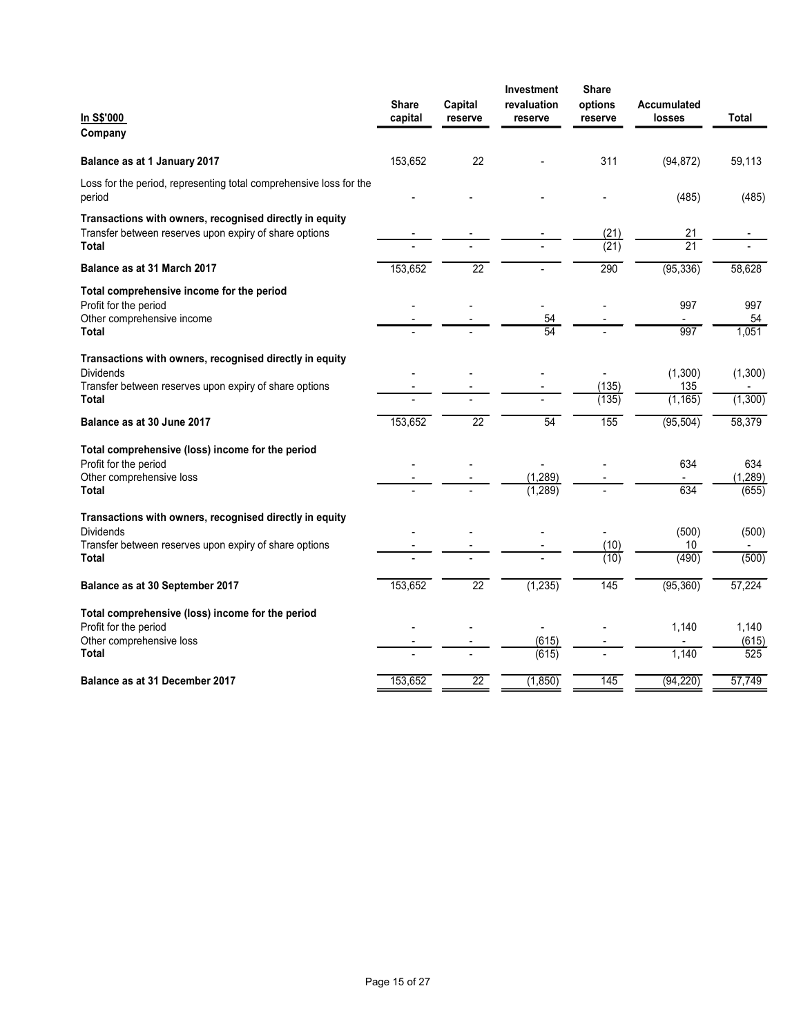|                                                                              | Share   | Capital | Investment<br>revaluation | <b>Share</b><br>options          | Accumulated              |                   |
|------------------------------------------------------------------------------|---------|---------|---------------------------|----------------------------------|--------------------------|-------------------|
| In S\$'000                                                                   | capital | reserve | reserve                   | reserve                          | losses                   | <b>Total</b>      |
| Company                                                                      |         |         |                           |                                  |                          |                   |
| Balance as at 1 January 2017                                                 | 153,652 | 22      |                           | 311                              | (94, 872)                | 59,113            |
| Loss for the period, representing total comprehensive loss for the<br>period |         |         |                           |                                  | (485)                    | (485)             |
| Transactions with owners, recognised directly in equity                      |         |         |                           |                                  |                          |                   |
| Transfer between reserves upon expiry of share options<br><b>Total</b>       |         |         |                           | (21)<br>(21)                     | 21<br>21                 |                   |
| Balance as at 31 March 2017                                                  | 153,652 | 22      | $\blacksquare$            | 290                              | (95, 336)                | 58,628            |
|                                                                              |         |         |                           |                                  |                          |                   |
| Total comprehensive income for the period<br>Profit for the period           |         |         |                           |                                  | 997                      | 997               |
| Other comprehensive income                                                   |         |         | 54<br>54                  |                                  | $\overline{\phantom{a}}$ | 54                |
| <b>Total</b>                                                                 |         |         |                           |                                  | 997                      | 1,051             |
| Transactions with owners, recognised directly in equity                      |         |         |                           |                                  |                          |                   |
| Dividends<br>Transfer between reserves upon expiry of share options          |         |         |                           | $\blacksquare$<br>(135)          | (1,300)<br>135           | (1,300)           |
| <b>Total</b>                                                                 |         |         |                           | (135)                            | (1, 165)                 | (1,300)           |
| Balance as at 30 June 2017                                                   | 153,652 | 22      | 54                        | 155                              | (95, 504)                | 58,379            |
| Total comprehensive (loss) income for the period                             |         |         |                           |                                  |                          |                   |
| Profit for the period                                                        |         |         | $\blacksquare$            |                                  | 634                      | 634               |
| Other comprehensive loss<br><b>Total</b>                                     |         |         | (1, 289)<br>(1, 289)      |                                  | $\sim$<br>634            | (1, 289)<br>(655) |
|                                                                              |         |         |                           |                                  |                          |                   |
| Transactions with owners, recognised directly in equity<br>Dividends         |         |         |                           |                                  | (500)                    | (500)             |
| Transfer between reserves upon expiry of share options<br><b>Total</b>       |         |         |                           | (10)<br>(10)                     | $10\,$<br>(490)          | (500)             |
|                                                                              |         |         |                           |                                  |                          |                   |
| Balance as at 30 September 2017                                              | 153,652 | 22      | (1, 235)                  | 145                              | (95, 360)                | 57,224            |
| Total comprehensive (loss) income for the period                             |         |         |                           |                                  |                          |                   |
| Profit for the period<br>Other comprehensive loss                            |         |         | $\blacksquare$<br>(615)   | $\blacksquare$<br>$\blacksquare$ | 1,140<br>$\blacksquare$  | 1,140<br>(615)    |
| <b>Total</b>                                                                 |         |         | (615)                     | $\blacksquare$                   | 1,140                    | 525               |
| Balance as at 31 December 2017                                               | 153,652 | 22      | (1, 850)                  | 145                              | (94, 220)                | 57,749            |
|                                                                              |         |         |                           |                                  |                          |                   |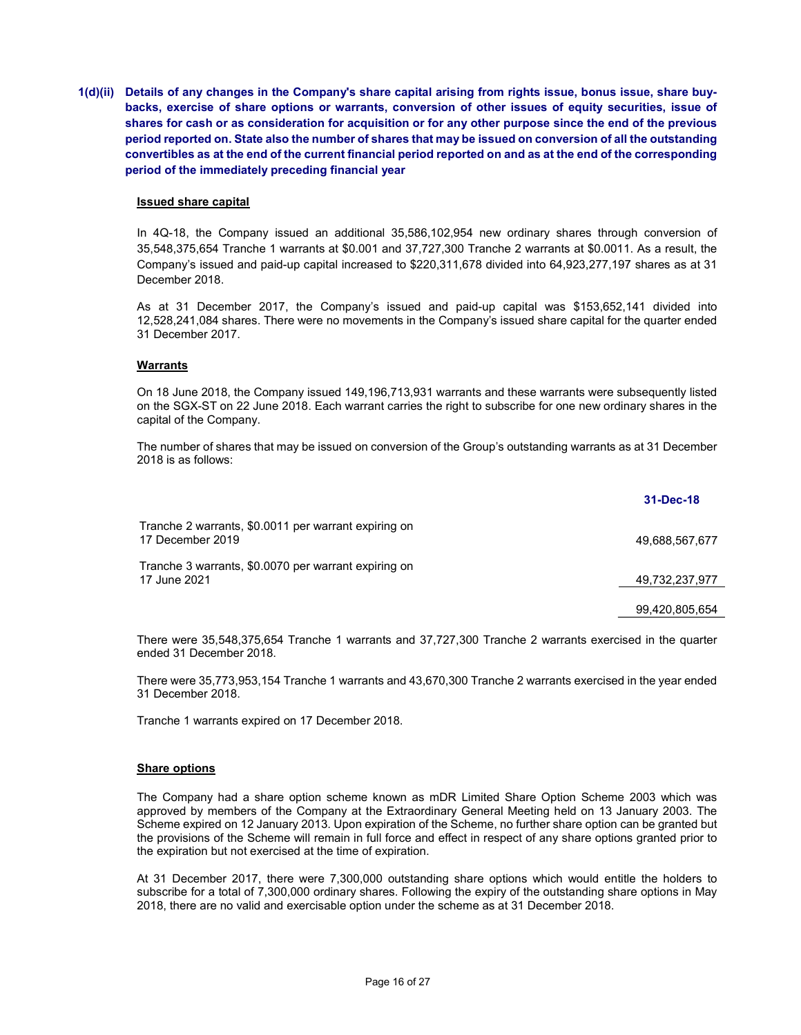1(d)(ii) Details of any changes in the Company's share capital arising from rights issue, bonus issue, share buybacks, exercise of share options or warrants, conversion of other issues of equity securities, issue of shares for cash or as consideration for acquisition or for any other purpose since the end of the previous period reported on. State also the number of shares that may be issued on conversion of all the outstanding convertibles as at the end of the current financial period reported on and as at the end of the corresponding period of the immediately preceding financial year

#### Issued share capital

In 4Q-18, the Company issued an additional 35,586,102,954 new ordinary shares through conversion of 35,548,375,654 Tranche 1 warrants at \$0.001 and 37,727,300 Tranche 2 warrants at \$0.0011. As a result, the Company's issued and paid-up capital increased to \$220,311,678 divided into 64,923,277,197 shares as at 31 December 2018.

As at 31 December 2017, the Company's issued and paid-up capital was \$153,652,141 divided into 12,528,241,084 shares. There were no movements in the Company's issued share capital for the quarter ended 31 December 2017.

#### **Warrants**

On 18 June 2018, the Company issued 149,196,713,931 warrants and these warrants were subsequently listed on the SGX-ST on 22 June 2018. Each warrant carries the right to subscribe for one new ordinary shares in the capital of the Company.

The number of shares that may be issued on conversion of the Group's outstanding warrants as at 31 December 2018 is as follows:

|                                                                          | 31-Dec-18      |
|--------------------------------------------------------------------------|----------------|
| Tranche 2 warrants, \$0.0011 per warrant expiring on<br>17 December 2019 | 49.688.567.677 |
| Tranche 3 warrants, \$0,0070 per warrant expiring on<br>17 June 2021     | 49,732,237,977 |
|                                                                          | 99,420,805,654 |

There were 35,548,375,654 Tranche 1 warrants and 37,727,300 Tranche 2 warrants exercised in the quarter ended 31 December 2018.

There were 35,773,953,154 Tranche 1 warrants and 43,670,300 Tranche 2 warrants exercised in the year ended 31 December 2018.

Tranche 1 warrants expired on 17 December 2018.

#### **Share options**

The Company had a share option scheme known as mDR Limited Share Option Scheme 2003 which was approved by members of the Company at the Extraordinary General Meeting held on 13 January 2003. The Scheme expired on 12 January 2013. Upon expiration of the Scheme, no further share option can be granted but the provisions of the Scheme will remain in full force and effect in respect of any share options granted prior to the expiration but not exercised at the time of expiration.

At 31 December 2017, there were 7,300,000 outstanding share options which would entitle the holders to subscribe for a total of 7,300,000 ordinary shares. Following the expiry of the outstanding share options in May 2018, there are no valid and exercisable option under the scheme as at 31 December 2018.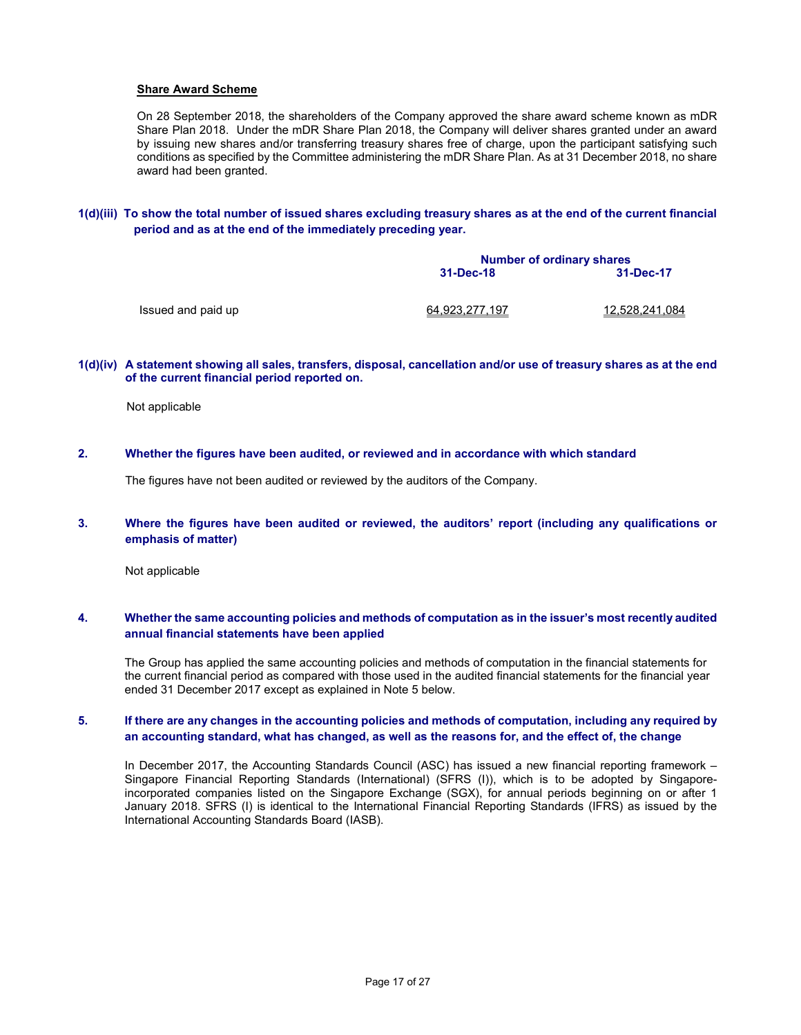### Share Award Scheme

On 28 September 2018, the shareholders of the Company approved the share award scheme known as mDR Share Plan 2018. Under the mDR Share Plan 2018, the Company will deliver shares granted under an award by issuing new shares and/or transferring treasury shares free of charge, upon the participant satisfying such conditions as specified by the Committee administering the mDR Share Plan. As at 31 December 2018, no share award had been granted.

1(d)(iii) To show the total number of issued shares excluding treasury shares as at the end of the current financial period and as at the end of the immediately preceding year.

|                    | <b>Number of ordinary shares</b> |                |  |  |  |
|--------------------|----------------------------------|----------------|--|--|--|
|                    | 31-Dec-18                        | 31-Dec-17      |  |  |  |
| Issued and paid up | 64.923.277.197                   | 12.528.241.084 |  |  |  |

#### 1(d)(iv) A statement showing all sales, transfers, disposal, cancellation and/or use of treasury shares as at the end of the current financial period reported on.

Not applicable

### 2. Whether the figures have been audited, or reviewed and in accordance with which standard

The figures have not been audited or reviewed by the auditors of the Company.

### 3. Where the figures have been audited or reviewed, the auditors' report (including any qualifications or emphasis of matter)

Not applicable

### 4. Whether the same accounting policies and methods of computation as in the issuer's most recently audited annual financial statements have been applied

The Group has applied the same accounting policies and methods of computation in the financial statements for the current financial period as compared with those used in the audited financial statements for the financial year ended 31 December 2017 except as explained in Note 5 below.

### 5. If there are any changes in the accounting policies and methods of computation, including any required by an accounting standard, what has changed, as well as the reasons for, and the effect of, the change

In December 2017, the Accounting Standards Council (ASC) has issued a new financial reporting framework – Singapore Financial Reporting Standards (International) (SFRS (I)), which is to be adopted by Singaporeincorporated companies listed on the Singapore Exchange (SGX), for annual periods beginning on or after 1 January 2018. SFRS (I) is identical to the International Financial Reporting Standards (IFRS) as issued by the International Accounting Standards Board (IASB).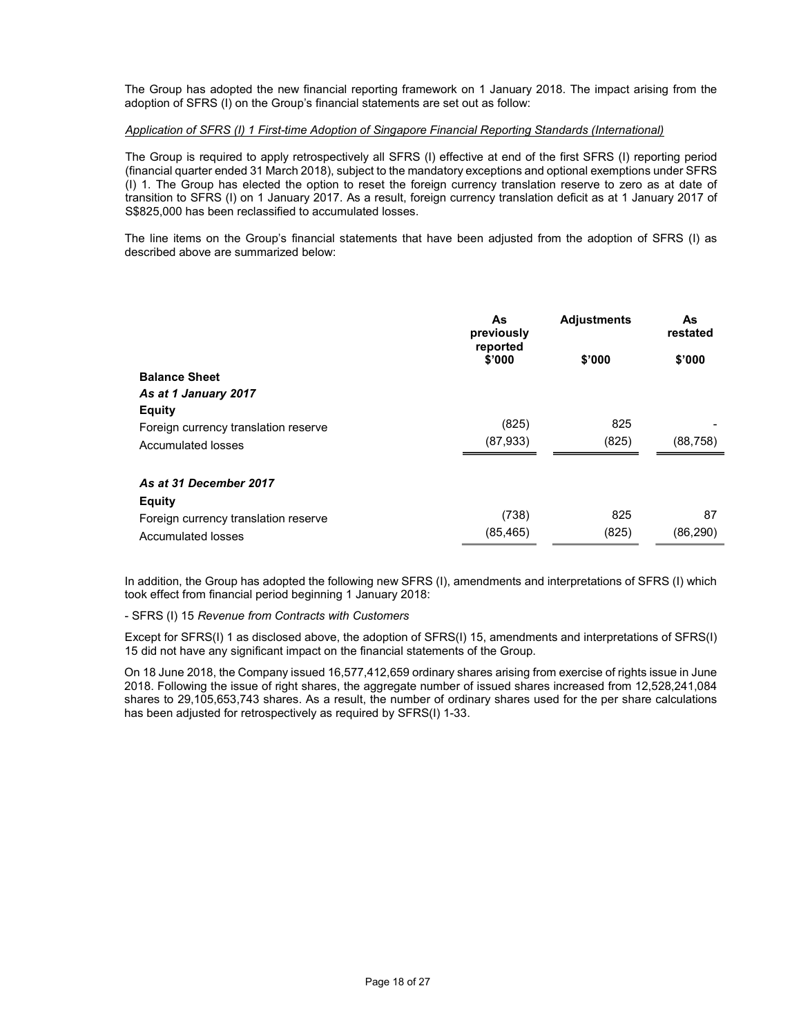The Group has adopted the new financial reporting framework on 1 January 2018. The impact arising from the adoption of SFRS (I) on the Group's financial statements are set out as follow:

### Application of SFRS (I) 1 First-time Adoption of Singapore Financial Reporting Standards (International)

The Group is required to apply retrospectively all SFRS (I) effective at end of the first SFRS (I) reporting period (financial quarter ended 31 March 2018), subject to the mandatory exceptions and optional exemptions under SFRS (I) 1. The Group has elected the option to reset the foreign currency translation reserve to zero as at date of transition to SFRS (I) on 1 January 2017. As a result, foreign currency translation deficit as at 1 January 2017 of S\$825,000 has been reclassified to accumulated losses.

The line items on the Group's financial statements that have been adjusted from the adoption of SFRS (I) as described above are summarized below:

|                                      | As<br>previously<br>reported | <b>Adjustments</b> | As<br>restated |
|--------------------------------------|------------------------------|--------------------|----------------|
|                                      | \$'000                       | \$'000             | \$'000         |
| <b>Balance Sheet</b>                 |                              |                    |                |
| As at 1 January 2017                 |                              |                    |                |
| <b>Equity</b>                        |                              |                    |                |
| Foreign currency translation reserve | (825)                        | 825                |                |
| Accumulated losses                   | (87,933)                     | (825)              | (88, 758)      |
| As at 31 December 2017               |                              |                    |                |
| <b>Equity</b>                        |                              |                    |                |
| Foreign currency translation reserve | (738)                        | 825                | 87             |
| Accumulated losses                   | (85, 465)                    | (825)              | (86, 290)      |

In addition, the Group has adopted the following new SFRS (I), amendments and interpretations of SFRS (I) which took effect from financial period beginning 1 January 2018:

#### - SFRS (I) 15 Revenue from Contracts with Customers

Except for SFRS(I) 1 as disclosed above, the adoption of SFRS(I) 15, amendments and interpretations of SFRS(I) 15 did not have any significant impact on the financial statements of the Group.

 On 18 June 2018, the Company issued 16,577,412,659 ordinary shares arising from exercise of rights issue in June 2018. Following the issue of right shares, the aggregate number of issued shares increased from 12,528,241,084 shares to 29,105,653,743 shares. As a result, the number of ordinary shares used for the per share calculations has been adjusted for retrospectively as required by SFRS(I) 1-33.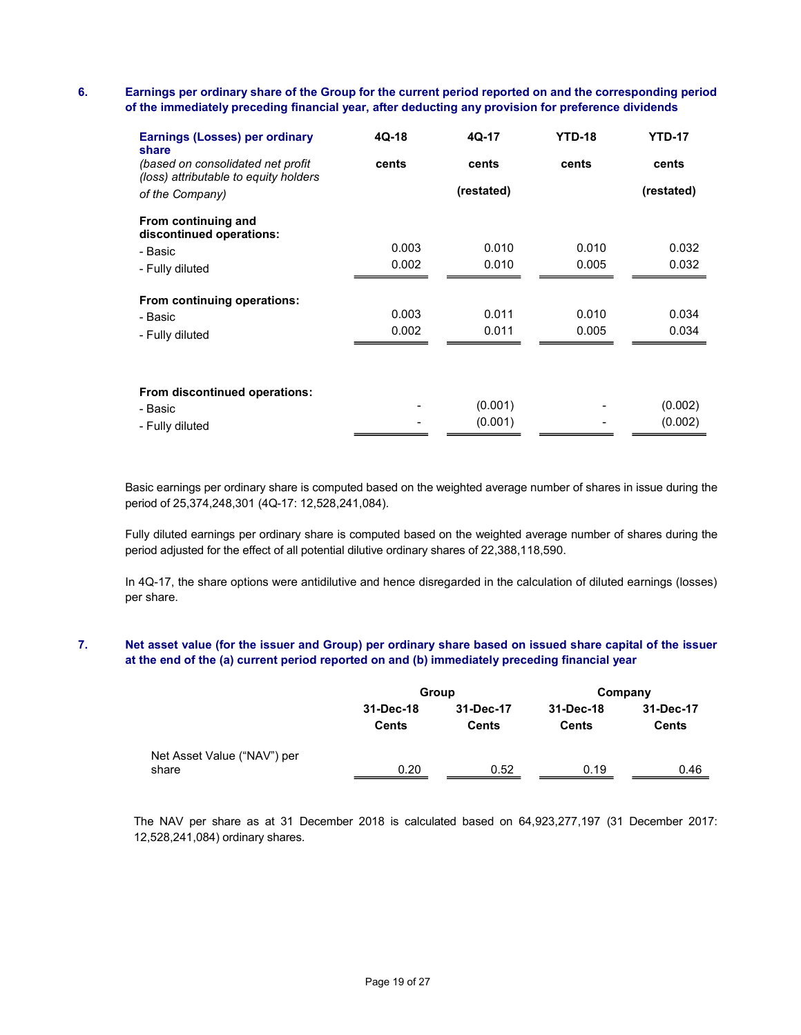# 6. Earnings per ordinary share of the Group for the current period reported on and the corresponding period of the immediately preceding financial year, after deducting any provision for preference dividends

| <b>Earnings (Losses) per ordinary</b><br>share                              | 4Q-18 | 4Q-17      | <b>YTD-18</b> | <b>YTD-17</b> |
|-----------------------------------------------------------------------------|-------|------------|---------------|---------------|
| (based on consolidated net profit)<br>(loss) attributable to equity holders | cents | cents      | cents         | cents         |
| of the Company)                                                             |       | (restated) |               | (restated)    |
| From continuing and<br>discontinued operations:                             |       |            |               |               |
| - Basic                                                                     | 0.003 | 0.010      | 0.010         | 0.032         |
| - Fully diluted                                                             | 0.002 | 0.010      | 0.005         | 0.032         |
| From continuing operations:                                                 |       |            |               |               |
| - Basic                                                                     | 0.003 | 0.011      | 0.010         | 0.034         |
| - Fully diluted                                                             | 0.002 | 0.011      | 0.005         | 0.034         |
|                                                                             |       |            |               |               |
| From discontinued operations:                                               |       |            |               |               |
| - Basic                                                                     |       | (0.001)    |               | (0.002)       |
| - Fully diluted                                                             |       | (0.001)    |               | (0.002)       |

Basic earnings per ordinary share is computed based on the weighted average number of shares in issue during the period of 25,374,248,301 (4Q-17: 12,528,241,084).

Fully diluted earnings per ordinary share is computed based on the weighted average number of shares during the period adjusted for the effect of all potential dilutive ordinary shares of 22,388,118,590.

In 4Q-17, the share options were antidilutive and hence disregarded in the calculation of diluted earnings (losses) per share.

# 7. Net asset value (for the issuer and Group) per ordinary share based on issued share capital of the issuer at the end of the (a) current period reported on and (b) immediately preceding financial year

|                                      |                           | Group                     | Company                   |                           |  |
|--------------------------------------|---------------------------|---------------------------|---------------------------|---------------------------|--|
|                                      | 31-Dec-18<br><b>Cents</b> | 31-Dec-17<br><b>Cents</b> | 31-Dec-18<br><b>Cents</b> | 31-Dec-17<br><b>Cents</b> |  |
| Net Asset Value ("NAV") per<br>share | 0.20                      | 0.52                      | 0.19                      | 0.46                      |  |

The NAV per share as at 31 December 2018 is calculated based on 64,923,277,197 (31 December 2017: 12,528,241,084) ordinary shares.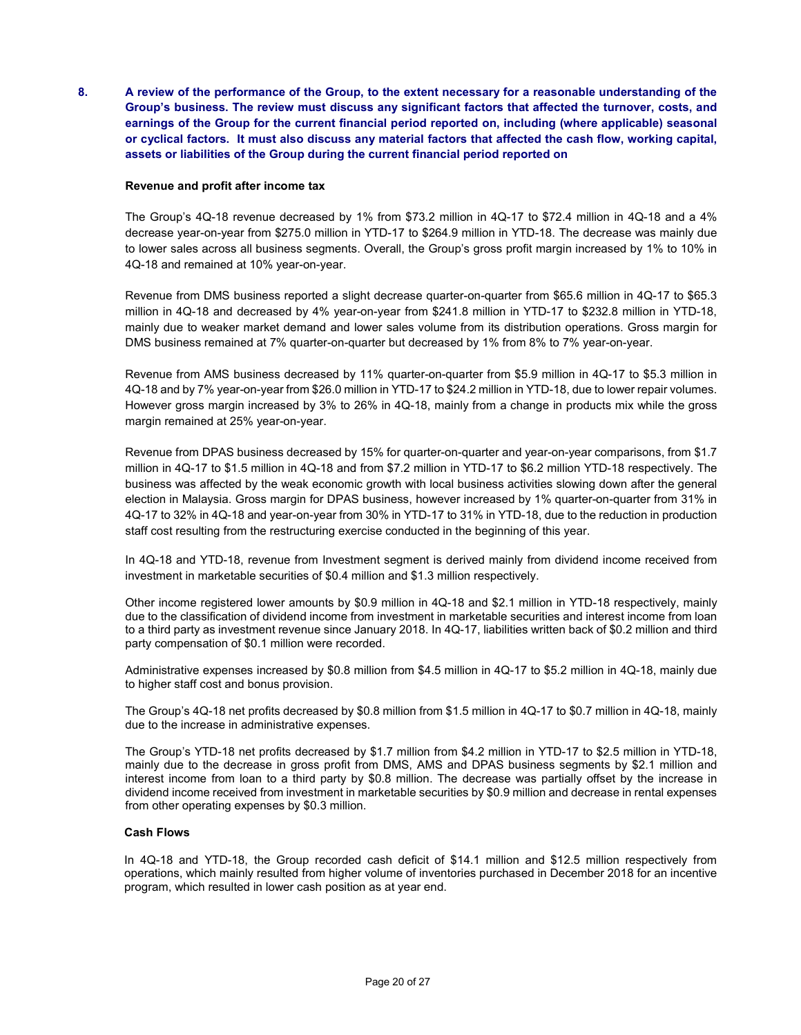8. A review of the performance of the Group, to the extent necessary for a reasonable understanding of the Group's business. The review must discuss any significant factors that affected the turnover, costs, and earnings of the Group for the current financial period reported on, including (where applicable) seasonal or cyclical factors. It must also discuss any material factors that affected the cash flow, working capital, assets or liabilities of the Group during the current financial period reported on

### Revenue and profit after income tax

The Group's 4Q-18 revenue decreased by 1% from \$73.2 million in 4Q-17 to \$72.4 million in 4Q-18 and a 4% decrease year-on-year from \$275.0 million in YTD-17 to \$264.9 million in YTD-18. The decrease was mainly due to lower sales across all business segments. Overall, the Group's gross profit margin increased by 1% to 10% in 4Q-18 and remained at 10% year-on-year.

Revenue from DMS business reported a slight decrease quarter-on-quarter from \$65.6 million in 4Q-17 to \$65.3 million in 4Q-18 and decreased by 4% year-on-year from \$241.8 million in YTD-17 to \$232.8 million in YTD-18, mainly due to weaker market demand and lower sales volume from its distribution operations. Gross margin for DMS business remained at 7% quarter-on-quarter but decreased by 1% from 8% to 7% year-on-year.

Revenue from AMS business decreased by 11% quarter-on-quarter from \$5.9 million in 4Q-17 to \$5.3 million in 4Q-18 and by 7% year-on-year from \$26.0 million in YTD-17 to \$24.2 million in YTD-18, due to lower repair volumes. However gross margin increased by 3% to 26% in 4Q-18, mainly from a change in products mix while the gross margin remained at 25% year-on-year.

Revenue from DPAS business decreased by 15% for quarter-on-quarter and year-on-year comparisons, from \$1.7 million in 4Q-17 to \$1.5 million in 4Q-18 and from \$7.2 million in YTD-17 to \$6.2 million YTD-18 respectively. The business was affected by the weak economic growth with local business activities slowing down after the general election in Malaysia. Gross margin for DPAS business, however increased by 1% quarter-on-quarter from 31% in 4Q-17 to 32% in 4Q-18 and year-on-year from 30% in YTD-17 to 31% in YTD-18, due to the reduction in production staff cost resulting from the restructuring exercise conducted in the beginning of this year.

In 4Q-18 and YTD-18, revenue from Investment segment is derived mainly from dividend income received from investment in marketable securities of \$0.4 million and \$1.3 million respectively.

Other income registered lower amounts by \$0.9 million in 4Q-18 and \$2.1 million in YTD-18 respectively, mainly due to the classification of dividend income from investment in marketable securities and interest income from loan to a third party as investment revenue since January 2018. In 4Q-17, liabilities written back of \$0.2 million and third party compensation of \$0.1 million were recorded.

Administrative expenses increased by \$0.8 million from \$4.5 million in 4Q-17 to \$5.2 million in 4Q-18, mainly due to higher staff cost and bonus provision.

The Group's 4Q-18 net profits decreased by \$0.8 million from \$1.5 million in 4Q-17 to \$0.7 million in 4Q-18, mainly due to the increase in administrative expenses.

The Group's YTD-18 net profits decreased by \$1.7 million from \$4.2 million in YTD-17 to \$2.5 million in YTD-18, mainly due to the decrease in gross profit from DMS, AMS and DPAS business segments by \$2.1 million and interest income from loan to a third party by \$0.8 million. The decrease was partially offset by the increase in dividend income received from investment in marketable securities by \$0.9 million and decrease in rental expenses from other operating expenses by \$0.3 million.

#### Cash Flows

In 4Q-18 and YTD-18, the Group recorded cash deficit of \$14.1 million and \$12.5 million respectively from operations, which mainly resulted from higher volume of inventories purchased in December 2018 for an incentive program, which resulted in lower cash position as at year end.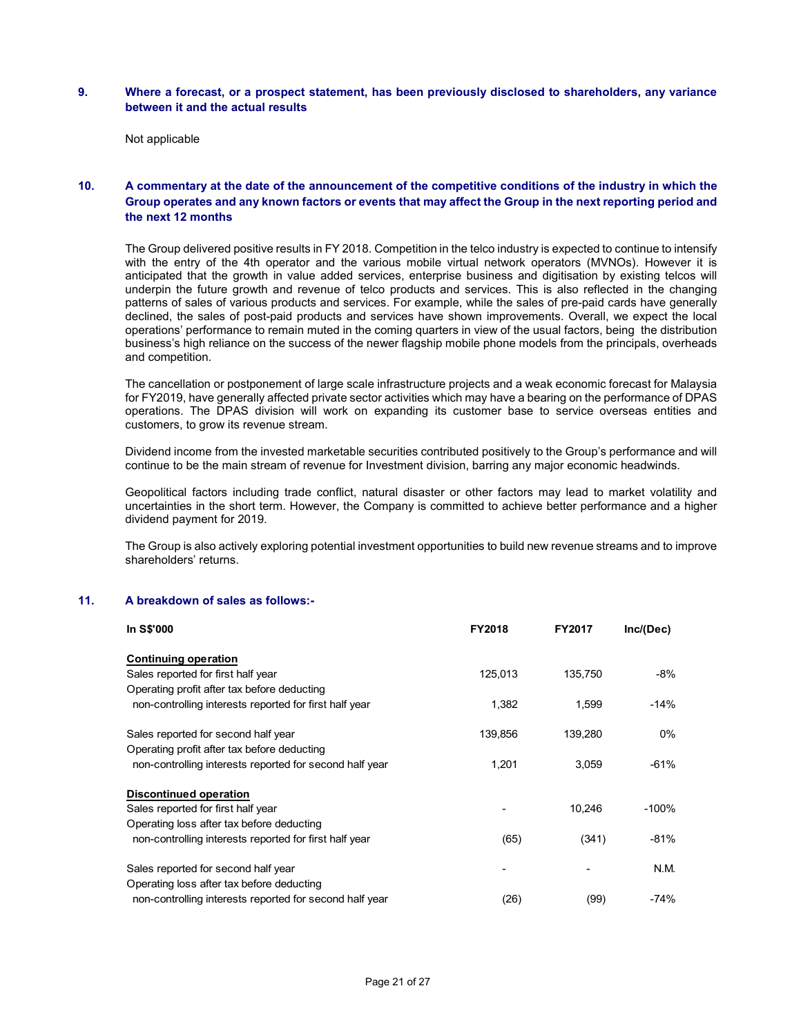### 9. Where a forecast, or a prospect statement, has been previously disclosed to shareholders, any variance between it and the actual results

Not applicable

# 10. A commentary at the date of the announcement of the competitive conditions of the industry in which the Group operates and any known factors or events that may affect the Group in the next reporting period and the next 12 months

The Group delivered positive results in FY 2018. Competition in the telco industry is expected to continue to intensify with the entry of the 4th operator and the various mobile virtual network operators (MVNOs). However it is anticipated that the growth in value added services, enterprise business and digitisation by existing telcos will underpin the future growth and revenue of telco products and services. This is also reflected in the changing patterns of sales of various products and services. For example, while the sales of pre-paid cards have generally declined, the sales of post-paid products and services have shown improvements. Overall, we expect the local operations' performance to remain muted in the coming quarters in view of the usual factors, being the distribution business's high reliance on the success of the newer flagship mobile phone models from the principals, overheads and competition. ervices. This is also reflected in the changing<br>
while the sales of pre-paid cards have generally<br>
while the sales of pre-paid cards have generally<br>
which the sucul factors, being the distribution<br>
le phone models from the

The cancellation or postponement of large scale infrastructure projects and a weak economic forecast for Malaysia for FY2019, have generally affected private sector activities which may have a bearing on the performance of DPAS operations. The DPAS division will work on expanding its customer base to service overseas entities and customers, to grow its revenue stream.

Dividend income from the invested marketable securities contributed positively to the Group's performance and will continue to be the main stream of revenue for Investment division, barring any major economic headwinds.

Geopolitical factors including trade conflict, natural disaster or other factors may lead to market volatility and uncertainties in the short term. However, the Company is committed to achieve better performance and a higher dividend payment for 2019.

The Group is also actively exploring potential investment opportunities to build new revenue streams and to improve shareholders' returns.

#### 11. A breakdown of sales as follows:-

| In S\$'000                                              | <b>FY2018</b> | FY2017  | Inc/(Dec) |
|---------------------------------------------------------|---------------|---------|-----------|
| <b>Continuing operation</b>                             |               |         |           |
| Sales reported for first half year                      | 125,013       | 135,750 | -8%       |
| Operating profit after tax before deducting             |               |         |           |
| non-controlling interests reported for first half year  | 1,382         | 1,599   | $-14%$    |
| Sales reported for second half year                     | 139,856       | 139,280 | 0%        |
| Operating profit after tax before deducting             |               |         |           |
| non-controlling interests reported for second half year | 1,201         | 3,059   | $-61%$    |
| <b>Discontinued operation</b>                           |               |         |           |
| Sales reported for first half year                      |               | 10,246  | $-100%$   |
| Operating loss after tax before deducting               |               |         |           |
| non-controlling interests reported for first half year  | (65)          | (341)   | -81%      |
| Sales reported for second half year                     |               |         | N.M.      |
| Operating loss after tax before deducting               |               |         |           |
| non-controlling interests reported for second half year | (26)          | (99)    | $-74%$    |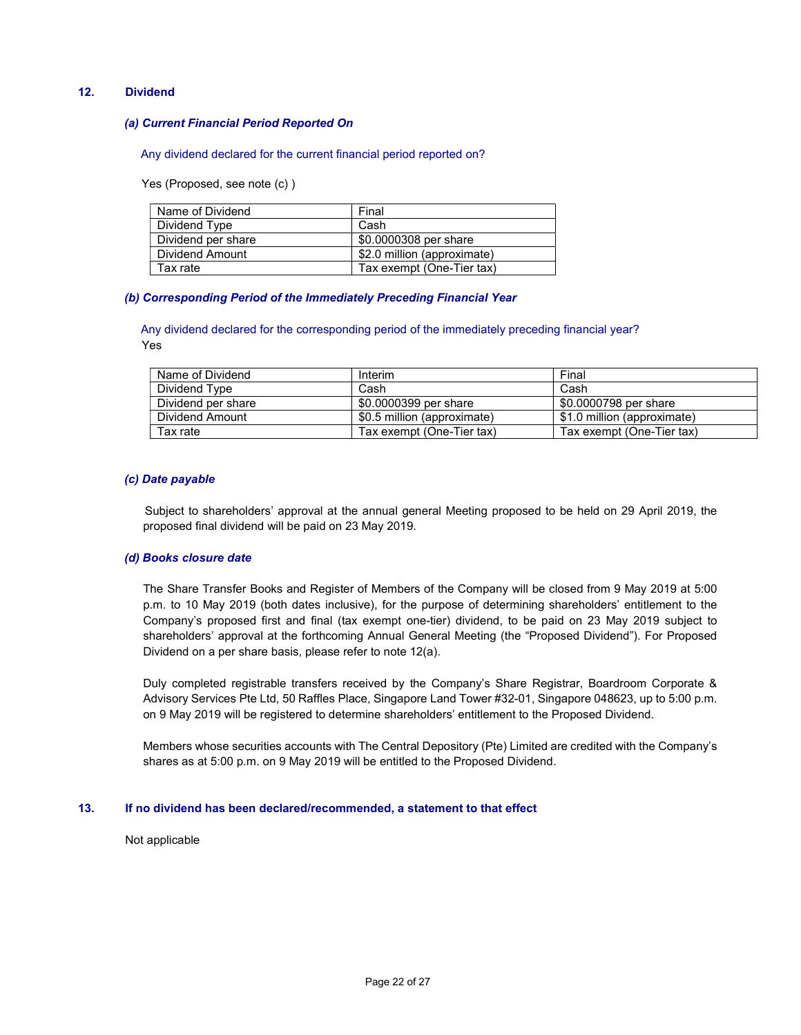### 12. Dividend

#### (a) Current Financial Period Reported On

Any dividend declared for the current financial period reported on?

Yes (Proposed, see note (c) )

| Name of Dividend   | Final                       |
|--------------------|-----------------------------|
| Dividend Type      | Cash                        |
| Dividend per share | \$0.0000308 per share       |
| Dividend Amount    | \$2.0 million (approximate) |
| Tax rate           | Tax exempt (One-Tier tax)   |

#### (b) Corresponding Period of the Immediately Preceding Financial Year

 Any dividend declared for the corresponding period of the immediately preceding financial year? Yes

| Name of Dividend   | Interim                     | Final                       |
|--------------------|-----------------------------|-----------------------------|
| Dividend Type      | Cash                        | Cash                        |
| Dividend per share | \$0,0000399 per share       | \$0,0000798 per share       |
| Dividend Amount    | \$0.5 million (approximate) | \$1.0 million (approximate) |
| Tax rate           | Tax exempt (One-Tier tax)   | Tax exempt (One-Tier tax)   |

#### (c) Date payable

 Subject to shareholders' approval at the annual general Meeting proposed to be held on 29 April 2019, the proposed final dividend will be paid on 23 May 2019.

### (d) Books closure date

The Share Transfer Books and Register of Members of the Company will be closed from 9 May 2019 at 5:00 p.m. to 10 May 2019 (both dates inclusive), for the purpose of determining shareholders' entitlement to the Company's proposed first and final (tax exempt one-tier) dividend, to be paid on 23 May 2019 subject to shareholders' approval at the forthcoming Annual General Meeting (the "Proposed Dividend"). For Proposed Dividend on a per share basis, please refer to note 12(a).

Duly completed registrable transfers received by the Company's Share Registrar, Boardroom Corporate & Advisory Services Pte Ltd, 50 Raffles Place, Singapore Land Tower #32-01, Singapore 048623, up to 5:00 p.m. on 9 May 2019 will be registered to determine shareholders' entitlement to the Proposed Dividend.

Members whose securities accounts with The Central Depository (Pte) Limited are credited with the Company's shares as at 5:00 p.m. on 9 May 2019 will be entitled to the Proposed Dividend.

### 13. If no dividend has been declared/recommended, a statement to that effect

Not applicable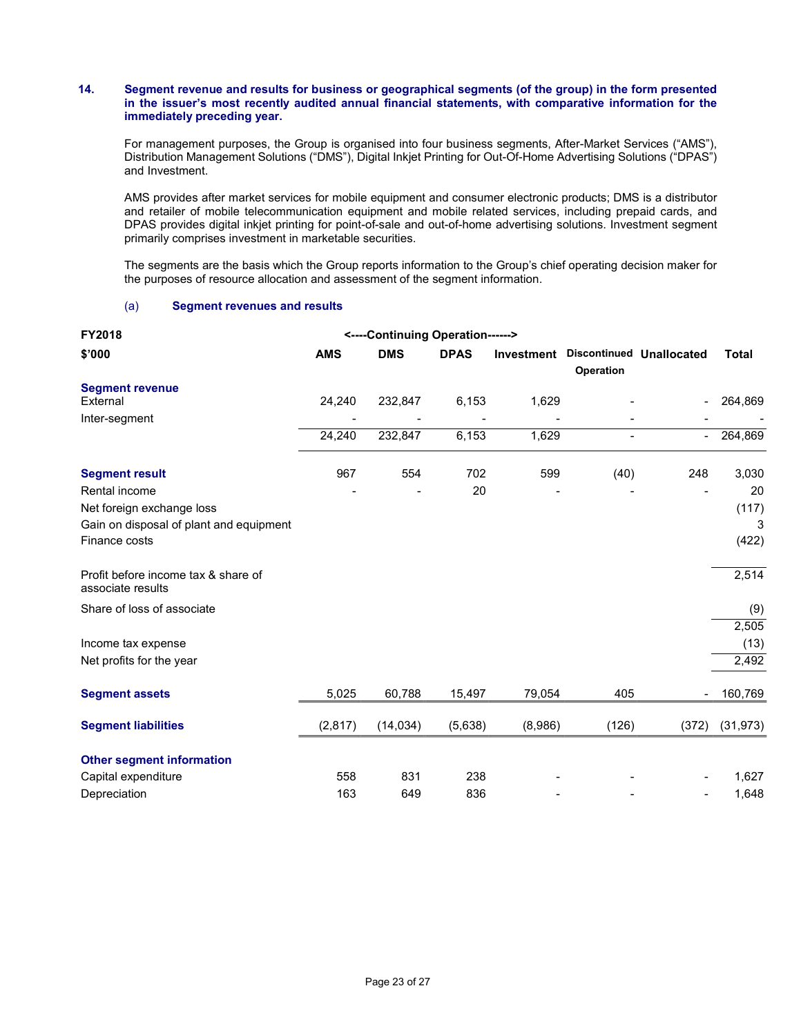#### 14. Segment revenue and results for business or geographical segments (of the group) in the form presented in the issuer's most recently audited annual financial statements, with comparative information for the immediately preceding year.

For management purposes, the Group is organised into four business segments, After-Market Services ("AMS"), Distribution Management Solutions ("DMS"), Digital Inkjet Printing for Out-Of-Home Advertising Solutions ("DPAS") and Investment.

 AMS provides after market services for mobile equipment and consumer electronic products; DMS is a distributor and retailer of mobile telecommunication equipment and mobile related services, including prepaid cards, and DPAS provides digital inkjet printing for point-of-sale and out-of-home advertising solutions. Investment segment primarily comprises investment in marketable securities.

 The segments are the basis which the Group reports information to the Group's chief operating decision maker for the purposes of resource allocation and assessment of the segment information.

### (a) Segment revenues and results

| FY2018                                                   |            | <----Continuing Operation------> |             |         |                                                         |                          |              |
|----------------------------------------------------------|------------|----------------------------------|-------------|---------|---------------------------------------------------------|--------------------------|--------------|
| \$'000                                                   | <b>AMS</b> | <b>DMS</b>                       | <b>DPAS</b> |         | <b>Investment Discontinued Unallocated</b><br>Operation |                          | <b>Total</b> |
| <b>Segment revenue</b>                                   |            |                                  |             |         |                                                         |                          |              |
| External                                                 | 24,240     | 232,847                          | 6,153       | 1,629   |                                                         |                          | 264,869      |
| Inter-segment                                            |            |                                  |             |         |                                                         |                          |              |
|                                                          | 24,240     | 232,847                          | 6,153       | 1,629   | $\blacksquare$                                          | $\overline{\phantom{a}}$ | 264,869      |
| <b>Segment result</b>                                    | 967        | 554                              | 702         | 599     | (40)                                                    | 248                      | 3,030        |
| Rental income                                            |            |                                  | 20          |         |                                                         |                          | 20           |
| Net foreign exchange loss                                |            |                                  |             |         |                                                         |                          | (117)        |
| Gain on disposal of plant and equipment                  |            |                                  |             |         |                                                         |                          | 3            |
| Finance costs                                            |            |                                  |             |         |                                                         |                          | (422)        |
| Profit before income tax & share of<br>associate results |            |                                  |             |         |                                                         |                          | 2,514        |
| Share of loss of associate                               |            |                                  |             |         |                                                         |                          | (9)          |
|                                                          |            |                                  |             |         |                                                         |                          | 2,505        |
| Income tax expense                                       |            |                                  |             |         |                                                         |                          | (13)         |
| Net profits for the year                                 |            |                                  |             |         |                                                         |                          | 2,492        |
| <b>Segment assets</b>                                    | 5,025      | 60,788                           | 15,497      | 79,054  | 405                                                     |                          | 160,769      |
| <b>Segment liabilities</b>                               | (2,817)    | (14, 034)                        | (5,638)     | (8,986) | (126)                                                   | (372)                    | (31, 973)    |
| <b>Other segment information</b>                         |            |                                  |             |         |                                                         |                          |              |
| Capital expenditure                                      | 558        | 831                              | 238         |         |                                                         |                          | 1,627        |
| Depreciation                                             | 163        | 649                              | 836         |         |                                                         |                          | 1,648        |
|                                                          |            |                                  |             |         |                                                         |                          |              |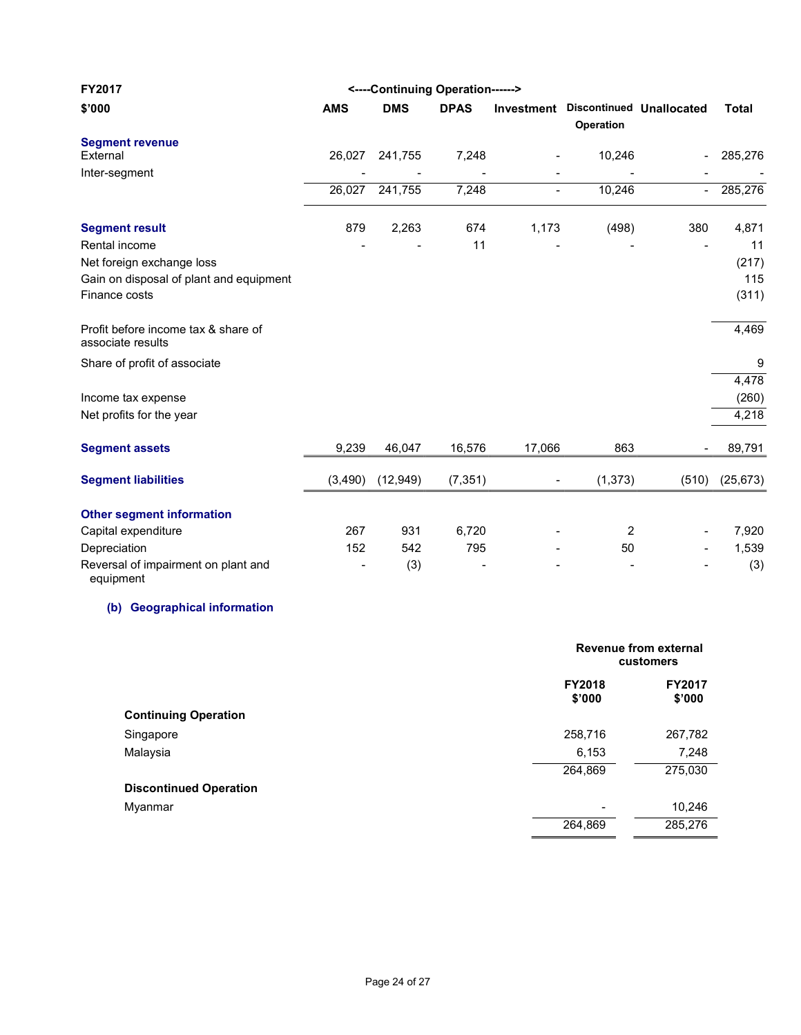| FY2017                                                   |            |            | <----Continuing Operation------> |                          |                                                  |                          |              |
|----------------------------------------------------------|------------|------------|----------------------------------|--------------------------|--------------------------------------------------|--------------------------|--------------|
| \$'000                                                   | <b>AMS</b> | <b>DMS</b> | <b>DPAS</b>                      |                          | Investment Discontinued Unallocated<br>Operation |                          | <b>Total</b> |
| <b>Segment revenue</b>                                   |            |            |                                  |                          |                                                  |                          |              |
| External                                                 | 26,027     | 241,755    | 7,248                            |                          | 10,246                                           | -                        | 285,276      |
| Inter-segment                                            |            |            |                                  | $\blacksquare$           |                                                  |                          |              |
|                                                          | 26,027     | 241,755    | 7,248                            | $\overline{\phantom{a}}$ | 10,246                                           | $\overline{\phantom{a}}$ | 285,276      |
| <b>Segment result</b>                                    | 879        | 2,263      | 674                              | 1,173                    | (498)                                            | 380                      | 4,871        |
| Rental income                                            |            |            | 11                               |                          |                                                  |                          | 11           |
| Net foreign exchange loss                                |            |            |                                  |                          |                                                  |                          | (217)        |
| Gain on disposal of plant and equipment                  |            |            |                                  |                          |                                                  |                          | 115          |
| Finance costs                                            |            |            |                                  |                          |                                                  |                          | (311)        |
| Profit before income tax & share of<br>associate results |            |            |                                  |                          |                                                  |                          | 4,469        |
| Share of profit of associate                             |            |            |                                  |                          |                                                  |                          | 9            |
|                                                          |            |            |                                  |                          |                                                  |                          | 4,478        |
| Income tax expense                                       |            |            |                                  |                          |                                                  |                          | (260)        |
| Net profits for the year                                 |            |            |                                  |                          |                                                  |                          | 4,218        |
| <b>Segment assets</b>                                    | 9,239      | 46,047     | 16,576                           | 17,066                   | 863                                              |                          | 89,791       |
| <b>Segment liabilities</b>                               | (3,490)    | (12, 949)  | (7, 351)                         | $\blacksquare$           | (1, 373)                                         | (510)                    | (25, 673)    |
|                                                          |            |            |                                  |                          |                                                  |                          |              |
| <b>Other segment information</b>                         |            |            |                                  |                          |                                                  |                          |              |
| Capital expenditure                                      | 267        | 931        | 6,720                            |                          | 2                                                | $\blacksquare$           | 7,920        |
| Depreciation                                             | 152        | 542        | 795                              |                          | 50                                               |                          | 1,539        |
| Reversal of impairment on plant and<br>equipment         |            | (3)        |                                  |                          |                                                  |                          | (3)          |

# (b) Geographical information

|                               | Revenue from external<br>customers |                         |  |
|-------------------------------|------------------------------------|-------------------------|--|
|                               | <b>FY2018</b><br>\$'000            | <b>FY2017</b><br>\$'000 |  |
| <b>Continuing Operation</b>   |                                    |                         |  |
| Singapore                     | 258,716                            | 267,782                 |  |
| Malaysia                      | 6,153                              | 7,248                   |  |
|                               | 264,869                            | 275,030                 |  |
| <b>Discontinued Operation</b> |                                    |                         |  |
| Myanmar                       |                                    | 10,246                  |  |
|                               | 264,869                            | 285,276                 |  |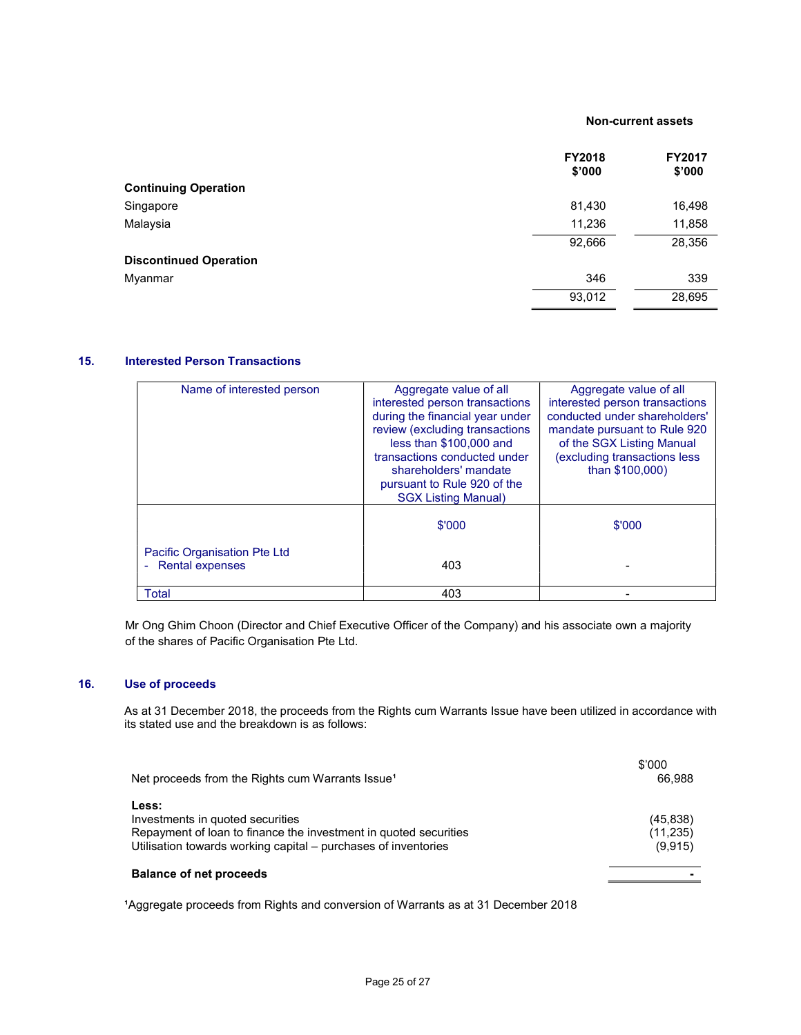#### Non-current assets

| <b>FY2018</b> | <b>FY2017</b><br>\$'000 |
|---------------|-------------------------|
|               |                         |
| 81,430        | 16,498                  |
| 11,236        | 11,858                  |
| 92,666        | 28,356                  |
|               |                         |
| 346           | 339                     |
| 93,012        | 28,695                  |
|               | \$'000                  |

# 15. Interested Person Transactions

| Name of interested person           | Aggregate value of all          | Aggregate value of all         |
|-------------------------------------|---------------------------------|--------------------------------|
|                                     | interested person transactions  | interested person transactions |
|                                     | during the financial year under | conducted under shareholders'  |
|                                     | review (excluding transactions  | mandate pursuant to Rule 920   |
|                                     | less than \$100,000 and         | of the SGX Listing Manual      |
|                                     | transactions conducted under    | (excluding transactions less   |
|                                     | shareholders' mandate           | than \$100,000)                |
|                                     | pursuant to Rule 920 of the     |                                |
|                                     | <b>SGX Listing Manual)</b>      |                                |
|                                     |                                 |                                |
|                                     | \$'000                          | \$'000                         |
|                                     |                                 |                                |
| <b>Pacific Organisation Pte Ltd</b> |                                 |                                |
| <b>Rental expenses</b><br>÷         | 403                             |                                |
|                                     |                                 |                                |
| Total                               | 403                             |                                |
|                                     |                                 |                                |

Mr Ong Ghim Choon (Director and Chief Executive Officer of the Company) and his associate own a majority of the shares of Pacific Organisation Pte Ltd.

# 16. Use of proceeds

 As at 31 December 2018, the proceeds from the Rights cum Warrants Issue have been utilized in accordance with its stated use and the breakdown is as follows:

| Net proceeds from the Rights cum Warrants Issue <sup>1</sup>                                                                                                                    | \$'000<br>66.988                  |
|---------------------------------------------------------------------------------------------------------------------------------------------------------------------------------|-----------------------------------|
| Less:<br>Investments in quoted securities<br>Repayment of loan to finance the investment in quoted securities<br>Utilisation towards working capital – purchases of inventories | (45, 838)<br>(11, 235)<br>(9,915) |
| <b>Balance of net proceeds</b>                                                                                                                                                  |                                   |

<sup>1</sup>Aggregate proceeds from Rights and conversion of Warrants as at 31 December 2018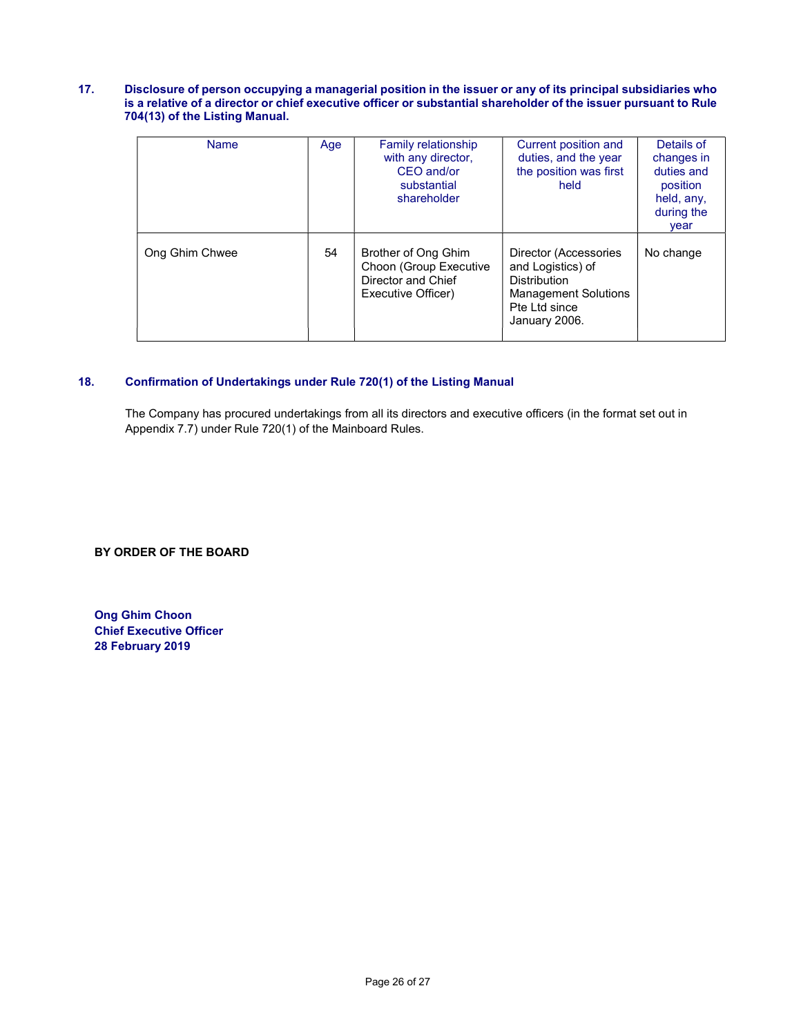#### 17. Disclosure of person occupying a managerial position in the issuer or any of its principal subsidiaries who is a relative of a director or chief executive officer or substantial shareholder of the issuer pursuant to Rule 704(13) of the Listing Manual.

| <b>Name</b>    | Age | <b>Family relationship</b><br>with any director,<br>CEO and/or<br>substantial<br>shareholder | Current position and<br>duties, and the year<br>the position was first<br>held                                                     | Details of<br>changes in<br>duties and<br>position<br>held, any,<br>during the<br>vear |
|----------------|-----|----------------------------------------------------------------------------------------------|------------------------------------------------------------------------------------------------------------------------------------|----------------------------------------------------------------------------------------|
| Ong Ghim Chwee | 54  | Brother of Ong Ghim<br>Choon (Group Executive<br>Director and Chief<br>Executive Officer)    | Director (Accessories<br>and Logistics) of<br><b>Distribution</b><br><b>Management Solutions</b><br>Pte Ltd since<br>January 2006. | No change                                                                              |

# 18. Confirmation of Undertakings under Rule 720(1) of the Listing Manual

The Company has procured undertakings from all its directors and executive officers (in the format set out in Appendix 7.7) under Rule 720(1) of the Mainboard Rules.

BY ORDER OF THE BOARD

Ong Ghim Choon Chief Executive Officer 28 February 2019